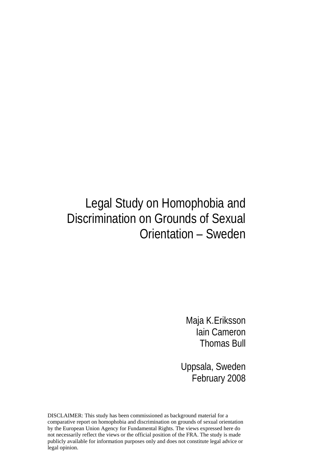## Legal Study on Homophobia and Discrimination on Grounds of Sexual Orientation – Sweden

Maja K.Eriksson Iain Cameron Thomas Bull

Uppsala, Sweden February 2008

DISCLAIMER: This study has been commissioned as background material for a comparative report on homophobia and discrimination on grounds of sexual orientation by the European Union Agency for Fundamental Rights. The views expressed here do not necessarily reflect the views or the official position of the FRA. The study is made publicly available for information purposes only and does not constitute legal advice or legal opinion.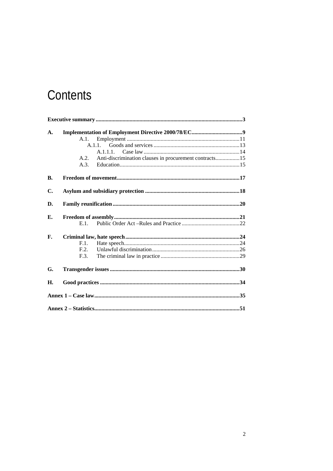# Contents

| $\mathbf{A}$ . |         |                                                        |  |
|----------------|---------|--------------------------------------------------------|--|
|                | A.1.    |                                                        |  |
|                |         | A.1.1.                                                 |  |
|                |         | A.1.1.1.                                               |  |
|                | A.2.    | Anti-discrimination clauses in procurement contracts15 |  |
|                | A.3.    |                                                        |  |
|                |         |                                                        |  |
| В.             |         |                                                        |  |
| C.             |         |                                                        |  |
| D.             |         |                                                        |  |
|                |         |                                                        |  |
| Е.             |         |                                                        |  |
|                | $E.1$ . |                                                        |  |
| F.             |         |                                                        |  |
|                | F.1.    |                                                        |  |
|                | F.2.    |                                                        |  |
|                | F.3.    |                                                        |  |
| G.             |         |                                                        |  |
| Н.             |         |                                                        |  |
|                |         |                                                        |  |
|                |         |                                                        |  |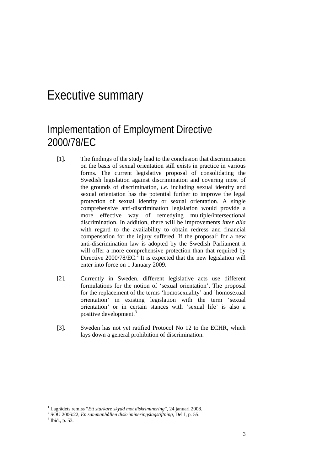## Executive summary

## Implementation of Employment Directive 2000/78/EC

- [1]. The findings of the study lead to the conclusion that discrimination on the basis of sexual orientation still exists in practice in various forms. The current legislative proposal of consolidating the Swedish legislation against discrimination and covering most of the grounds of discrimination, *i.e.* including sexual identity and sexual orientation has the potential further to improve the legal protection of sexual identity or sexual orientation. A single comprehensive anti-discrimination legislation would provide a more effective way of remedying multiple/intersectional discrimination. In addition, there will be improvements *inter alia* with regard to the availability to obtain redress and financial compensation for the injury suffered. If the proposal<sup>1</sup> for a new anti-discrimination law is adopted by the Swedish Parliament it will offer a more comprehensive protection than that required by Directive  $2000/78$ /EC.<sup>2</sup> It is expected that the new legislation will enter into force on 1 January 2009.
- [2]. Currently in Sweden, different legislative acts use different formulations for the notion of 'sexual orientation'. The proposal for the replacement of the terms 'homosexuality' and 'homosexual orientation' in existing legislation with the term 'sexual orientation' or in certain stances with 'sexual life' is also a positive development.<sup>3</sup>
- [3]. Sweden has not yet ratified Protocol No 12 to the ECHR, which lays down a general prohibition of discrimination.

<sup>&</sup>lt;sup>1</sup> Lagrådets remiss "*Ett starkare skydd mot diskriminering*", 24 januari 2008.<br><sup>2</sup> SOU 2006:22. En sammanhållan diskrimineringelagetiftning. Del L p. 55.

SOU 2006:22, *En sammanhållen diskrimineringslagstiftning*, Del I, p. 55. 3

 $3$  Ibid., p. 53.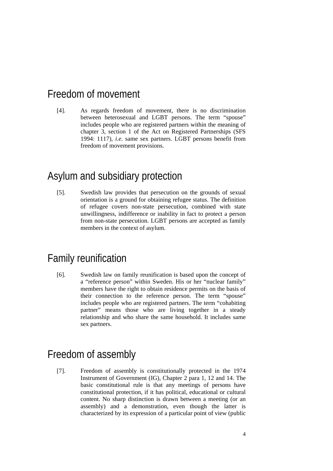### Freedom of movement

[4]. As regards freedom of movement, there is no discrimination between heterosexual and LGBT persons. The term "spouse" includes people who are registered partners within the meaning of chapter 3, section 1 of the Act on Registered Partnerships (SFS 1994: 1117), *i.e*. same sex partners. LGBT persons benefit from freedom of movement provisions.

### Asylum and subsidiary protection

[5]. Swedish law provides that persecution on the grounds of sexual orientation is a ground for obtaining refugee status. The definition of refugee covers non-state persecution, combined with state unwillingness, indifference or inability in fact to protect a person from non-state persecution. LGBT persons are accepted as family members in the context of asylum.

### Family reunification

[6]. Swedish law on family reunification is based upon the concept of a "reference person" within Sweden. His or her "nuclear family" members have the right to obtain residence permits on the basis of their connection to the reference person. The term "spouse" includes people who are registered partners. The term "cohabiting partner" means those who are living together in a steady relationship and who share the same household. It includes same sex partners.

### Freedom of assembly

[7]. Freedom of assembly is constitutionally protected in the 1974 Instrument of Government (IG), Chapter 2 para 1, 12 and 14. The basic constitutional rule is that any meetings of persons have constitutional protection, if it has political, educational or cultural content. No sharp distinction is drawn between a meeting (or an assembly) and a demonstration, even though the latter is characterized by its expression of a particular point of view (public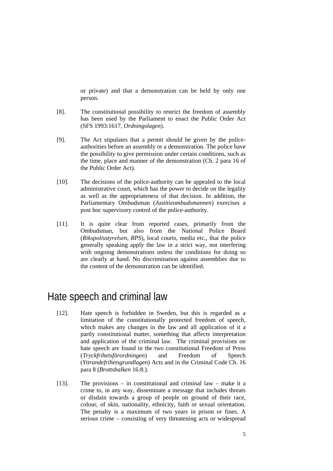or private) and that a demonstration can be held by only one person.

- [8]. The constitutional possibility to restrict the freedom of assembly has been used by the Parliament to enact the Public Order Act (SFS 1993:1617, *Ordningslagen*).
- [9]. The Act stipulates that a permit should be given by the policeauthorities before an assembly or a demonstration. The police have the possibility to give permission under certain conditions, such as the time, place and manner of the demonstration (Ch. 2 para 16 of the Public Order Act).
- [10]. The decisions of the police-authority can be appealed to the local administrative court, which has the power to decide on the legality as well as the appropriateness of that decision. In addition, the Parliamentary Ombudsman (*Justitieombudsmannen*) exercises a post hoc supervisory control of the police-authority.
- [11]. It is quite clear from reported cases, primarily from the Ombudsman, but also from the National Police Board (*Rikspolisstyrelsen, RPS*), local courts, media etc., that the police generally speaking apply the law in a strict way, not interfering with ongoing demonstrations unless the conditions for doing so are clearly at hand. No discrimination against assemblies due to the content of the demonstration can be identified.

### Hate speech and criminal law

- [12]. Hate speech is forbidden in Sweden, but this is regarded as a limitation of the constitutionally protected freedom of speech, which makes any changes in the law and all application of it a partly constitutional matter, something that affects interpretation and application of the criminal law. The criminal provisions on hate speech are found in the two constitutional Freedom of Press (*Tryckfrihetsförordningen*) and Freedom of Speech (*Yttrandefrihetsgrundlagen*) Acts and in the Criminal Code Ch. 16 para 8 (*Brottsbalken* 16:8.).
- [13]. The provisions in constitutional and criminal law make it a crime to, in any way, disseminate a message that includes threats or disdain towards a group of people on ground of their race, colour, of skin, nationality, ethnicity, faith or sexual orientation. The penalty is a maximum of two years in prison or fines. A serious crime – consisting of very threatening acts or widespread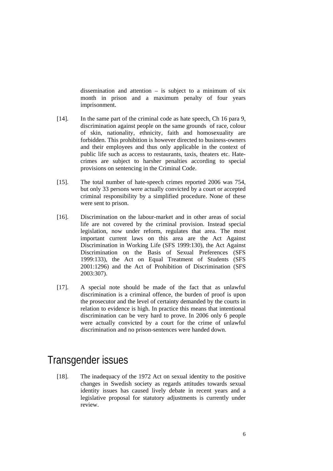dissemination and attention  $-$  is subject to a minimum of six month in prison and a maximum penalty of four years imprisonment.

- [14]. In the same part of the criminal code as hate speech, Ch 16 para 9, discrimination against people on the same grounds of race, colour of skin, nationality, ethnicity, faith and homosexuality are forbidden. This prohibition is however directed to business-owners and their employees and thus only applicable in the context of public life such as access to restaurants, taxis, theaters etc. Hatecrimes are subject to harsher penalties according to special provisions on sentencing in the Criminal Code.
- [15]. The total number of hate-speech crimes reported 2006 was 754, but only 33 persons were actually convicted by a court or accepted criminal responsibility by a simplified procedure. None of these were sent to prison.
- [16]. Discrimination on the labour-market and in other areas of social life are not covered by the criminal provision. Instead special legislation, now under reform, regulates that area. The most important current laws on this area are the Act Against Discrimination in Working Life (SFS 1999:130), the Act Against Discrimination on the Basis of Sexual Preferences (SFS 1999:133), the Act on Equal Treatment of Students (SFS 2001:1296) and the Act of Prohibition of Discrimination (SFS 2003:307).
- [17]. A special note should be made of the fact that as unlawful discrimination is a criminal offence, the burden of proof is upon the prosecutor and the level of certainty demanded by the courts in relation to evidence is high. In practice this means that intentional discrimination can be very hard to prove. In 2006 only 6 people were actually convicted by a court for the crime of unlawful discrimination and no prison-sentences were handed down.

### Transgender issues

[18]. The inadequacy of the 1972 Act on sexual identity to the positive changes in Swedish society as regards attitudes towards sexual identity issues has caused lively debate in recent years and a legislative proposal for statutory adjustments is currently under review.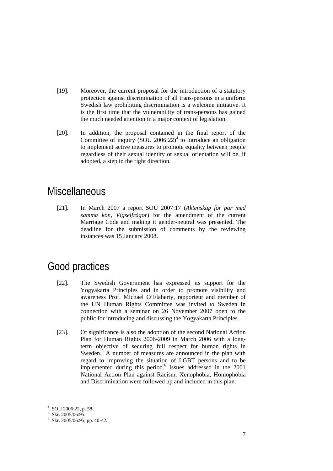- [19]. Moreover, the current proposal for the introduction of a statutory protection against discrimination of all trans-persons in a uniform Swedish law prohibiting discrimination is a welcome initiative. It is the first time that the vulnerability of trans-persons has gained the much needed attention in a major context of legislation.
- [20]. In addition, the proposal contained in the final report of the Committee of inquiry  $(SOU 2006:22)^4$  to introduce an obligation to implement active measures to promote equality between people regardless of their sexual identity or sexual orientation will be, if adopted, a step in the right direction.

### **Miscellaneous**

[21]. In March 2007 a report SOU 2007:17 (*Äktenskap för par med samma kön, Vigselfrågor*) for the amendment of the current Marriage Code and making it gender-neutral was presented. The deadline for the submission of comments by the reviewing instances was 15 January 2008.

## Good practices

- [22]. The Swedish Government has expressed its support for the Yogyakarta Principles and in order to promote visibility and awareness Prof. Michael O'Flaherty, rapporteur and member of the UN Human Rights Committee was invited to Sweden in connection with a seminar on 26 November 2007 open to the public for introducing and discussing the Yogyakarta Principles.
- [23]. Of significance is also the adoption of the second National Action Plan for Human Rights 2006-2009 in March 2006 with a longterm objective of securing full respect for human rights in Sweden. $5$  A number of measures are announced in the plan with regard to improving the situation of LGBT persons and to be implemented during this period.<sup>6</sup> Issues addressed in the 2001 National Action Plan against Racism, Xenophobia, Homophobia and Discrimination were followed up and included in this plan.

<sup>4</sup> SOU 2006:22, p. 58.

<sup>5</sup> Skr. 2005/06:95.

 $6$  Skr. 2005/06:95, pp. 40-42.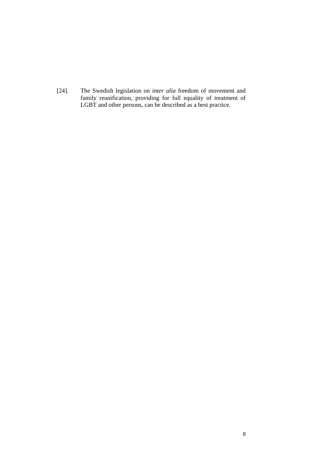[24]. The Swedish legislation on *inter alia* freedom of movement and family reunification, providing for full equality of treatment of LGBT and other persons, can be described as a best practice.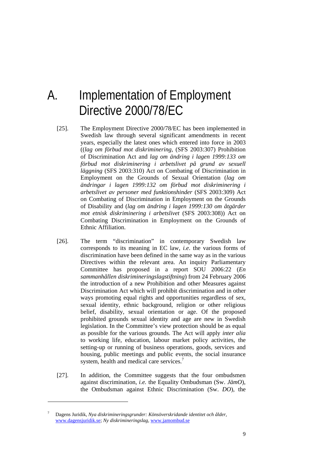## A. Implementation of Employment Directive 2000/78/EC

- [25]. The Employment Directive 2000/78/EC has been implemented in Swedish law through several significant amendments in recent years, especially the latest ones which entered into force in 2003 ((*lag om förbud mot diskriminering*, (SFS 2003:307) Prohibition of Discrimination Act and *lag om ändring i lagen 1999:133 om förbud mot diskriminering i arbetslivet på grund av sexuell läggning* (SFS 2003:310) Act on Combating of Discrimination in Employment on the Grounds of Sexual Orientation (*lag om ändringar i lagen 1999:132 om förbud mot diskriminering i arbetslivet av personer med funktionshinder* (SFS 2003:309) Act on Combating of Discrimination in Employment on the Grounds of Disability and (*lag om ändring i lagen 1999:130 om åtgärder mot etnisk diskriminering i arbetslivet* (SFS 2003:308)) Act on Combating Discrimination in Employment on the Grounds of Ethnic Affiliation.
- [26]. The term "discrimination" in contemporary Swedish law corresponds to its meaning in EC law, *i.e*. the various forms of discrimination have been defined in the same way as in the various Directives within the relevant area. An inquiry Parliamentary Committee has proposed in a report SOU 2006:22 (*En sammanhållen diskrimineringslagstiftning*) from 24 February 2006 the introduction of a new Prohibition and other Measures against Discrimination Act which will prohibit discrimination and in other ways promoting equal rights and opportunities regardless of sex, sexual identity, ethnic background, religion or other religious belief, disability, sexual orientation or age. Of the proposed prohibited grounds sexual identity and age are new in Swedish legislation. In the Committee's view protection should be as equal as possible for the various grounds. The Act will apply *inter alia* to working life, education, labour market policy activities, the setting-up or running of business operations, goods, services and housing, public meetings and public events, the social insurance system, health and medical care services.<sup>7</sup>
- [27]. In addition, the Committee suggests that the four ombudsmen against discrimination, *i.e.* the Equality Ombudsman (Sw. *JämO*), the Ombudsman against Ethnic Discrimination (Sw. *DO*), the

-

<sup>7</sup> Dagens Juridik, *Nya diskrimineringsgrunder: Könsöverskridande identitet och ålder*, www.dagensjuridik.se; *Ny diskrimineringslag*, www.jamombud.se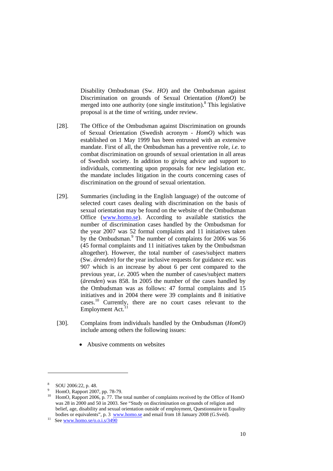Disability Ombudsman (Sw. *HO*) and the Ombudsman against Discrimination on grounds of Sexual Orientation (*HomO*) be merged into one authority (one single institution).<sup>8</sup> This legislative proposal is at the time of writing, under review.

- [28]. The Office of the Ombudsman against Discrimination on grounds of Sexual Orientation (Swedish acronym - *HomO*) which was established on 1 May 1999 has been entrusted with an extensive mandate. First of all, the Ombudsman has a preventive role, *i.e.* to combat discrimination on grounds of sexual orientation in all areas of Swedish society. In addition to giving advice and support to individuals, commenting upon proposals for new legislation etc. the mandate includes litigation in the courts concerning cases of discrimination on the ground of sexual orientation.
- [29]. Summaries (including in the English language) of the outcome of selected court cases dealing with discrimination on the basis of sexual orientation may be found on the website of the Ombudsman Office (www.homo.se). According to available statistics the number of discrimination cases handled by the Ombudsman for the year 2007 was 52 formal complaints and 11 initiatives taken by the Ombudsman.<sup>9</sup> The number of complaints for 2006 was 56 (45 formal complaints and 11 initiatives taken by the Ombudsman altogether). However, the total number of cases/subject matters (Sw. *ärenden*) for the year inclusive requests for guidance etc. was 907 which is an increase by about 6 per cent compared to the previous year, *i.e*. 2005 when the number of cases/subject matters (*ärenden*) was 858. In 2005 the number of the cases handled by the Ombudsman was as follows: 47 formal complaints and 15 initiatives and in 2004 there were 39 complaints and 8 initiative cases.10 Currently, there are no court cases relevant to the Employment Act. $^{11}$
- [30]. Complains from individuals handled by the Ombudsman (*HomO*) include among others the following issues:
	- Abusive comments on websites

-

<sup>8</sup> SOU 2006:22, p. 48.

<sup>9</sup>  $^{9}$  HomO, Rapport 2007, pp. 78-79.

HomO, Rapport 2006, p. 77. The total number of complaints received by the Office of HomO was 28 in 2000 and 50 in 2003. See "Study on discrimination on grounds of religion and belief, age, disability and sexual orientation outside of employment, Questionnaire to Equality bodies or equivalents", p. 3 www.homo.se and email from 18 January 2008 (G.Svéd).<br><sup>11</sup> See www.homo.se/o.o.i.s/3490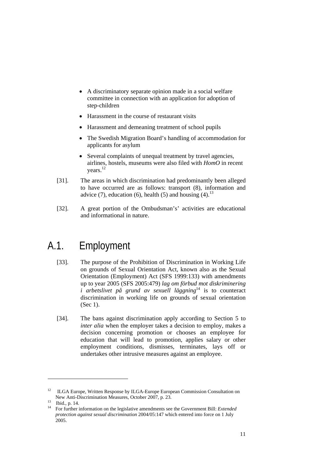- A discriminatory separate opinion made in a social welfare committee in connection with an application for adoption of step-children
- Harassment in the course of restaurant visits
- Harassment and demeaning treatment of school pupils
- The Swedish Migration Board's handling of accommodation for applicants for asylum
- Several complaints of unequal treatment by travel agencies, airlines, hostels, museums were also filed with *HomO* in recent years.<sup>12</sup>
- [31]. The areas in which discrimination had predominantly been alleged to have occurred are as follows: transport (8), information and advice (7), education (6), health (5) and housing (4).<sup>13</sup>
- [32]. A great portion of the Ombudsman's' activities are educational and informational in nature.

## A.1. Employment

- [33]. The purpose of the Prohibition of Discrimination in Working Life on grounds of Sexual Orientation Act, known also as the Sexual Orientation (Employment) Act (SFS 1999:133) with amendments up to year 2005 (SFS 2005:479) *lag om förbud mot diskriminering i* arbetslivet på grund av sexuell läggning<sup>14</sup> is to counteract discrimination in working life on grounds of sexual orientation (Sec 1).
- [34]. The bans against discrimination apply according to Section 5 to *inter alia* when the employer takes a decision to employ, makes a decision concerning promotion or chooses an employee for education that will lead to promotion, applies salary or other employment conditions, dismisses, terminates, lays off or undertakes other intrusive measures against an employee.

<sup>&</sup>lt;sup>12</sup> ILGA Europe, Written Response by ILGA-Europe European Commission Consultation on New Anti-Discrimination Measures, October 2007, p. 23.<br>
Ibid., p. 14.<br>
<sup>14</sup> Equipments aftermation on the locialistics among months are

<sup>14</sup> For further information on the legislative amendments see the Government Bill: *Extended protection against sexual discrimination* 2004/05:147 which entered into force on 1 July 2005.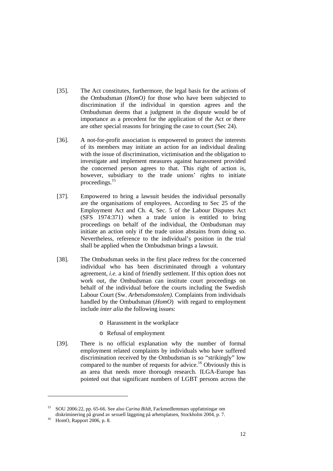- [35]. The Act constitutes, furthermore, the legal basis for the actions of the Ombudsman (*HomO)* for those who have been subjected to discrimination if the individual in question agrees and the Ombudsman deems that a judgment in the dispute would be of importance as a precedent for the application of the Act or there are other special reasons for bringing the case to court (Sec 24).
- [36]. A not-for-profit association is empowered to protect the interests of its members may initiate an action for an individual dealing with the issue of discrimination, victimisation and the obligation to investigate and implement measures against harassment provided the concerned person agrees to that. This right of action is, however, subsidiary to the trade unions' rights to initiate proceedings.15
- [37]. Empowered to bring a lawsuit besides the individual personally are the organisations of employees. According to Sec 25 of the Employment Act and Ch. 4, Sec. 5 of the Labour Disputes Act (SFS 1974:371) when a trade union is entitled to bring proceedings on behalf of the individual, the Ombudsman may initiate an action only if the trade union abstains from doing so. Nevertheless, reference to the individual's position in the trial shall be applied when the Ombudsman brings a lawsuit.
- [38]. The Ombudsman seeks in the first place redress for the concerned individual who has been discriminated through a voluntary agreement, *i.e.* a kind of friendly settlement. If this option does not work out, the Ombudsman can institute court proceedings on behalf of the individual before the courts including the Swedish Labour Court (Sw. *Arbetsdomstolen)*. Complaints from individuals handled by the Ombudsman (*HomO*) with regard to employment include *inter alia* the following issues:
	- o Harassment in the workplace
	- o Refusal of employment
- [39]. There is no official explanation why the number of formal employment related complaints by individuals who have suffered discrimination received by the Ombudsman is so "strikingly" low compared to the number of requests for advice.<sup>16</sup> Obviously this is an area that needs more thorough research. ILGA-Europe has pointed out that significant numbers of LGBT persons across the

<sup>15</sup> SOU 2006:22, pp. 65-66. See also *Carina Bildt*, Fackmedlemmars uppfattningar om diskriminering på grund av sexuell läggning på arbetsplatsen, Stockholm 2004, p. 7. HomO, Rapport 2006, p. 8.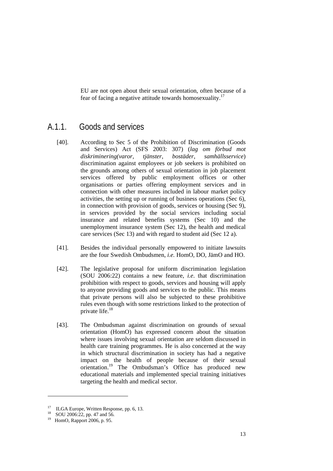EU are not open about their sexual orientation, often because of a fear of facing a negative attitude towards homosexuality.17

### A.1.1. Goods and services

- [40]. According to Sec 5 of the Prohibition of Discrimination (Goods and Services) Act (SFS 2003: 307) (*lag om förbud mot diskriminering(varor, tjänster, bostäder, samhällsservice*) discrimination against employees or job seekers is prohibited on the grounds among others of sexual orientation in job placement services offered by public employment offices or other organisations or parties offering employment services and in connection with other measures included in labour market policy activities, the setting up or running of business operations (Sec 6), in connection with provision of goods, services or housing (Sec 9), in services provided by the social services including social insurance and related benefits systems (Sec 10) and the unemployment insurance system (Sec 12), the health and medical care services (Sec 13) and with regard to student aid (Sec 12 a).
- [41]. Besides the individual personally empowered to initiate lawsuits are the four Swedish Ombudsmen, *i.e.* HomO, DO, JämO and HO.
- [42]. The legislative proposal for uniform discrimination legislation (SOU 2006:22) contains a new feature, *i.e*. that discrimination prohibition with respect to goods, services and housing will apply to anyone providing goods and services to the public. This means that private persons will also be subjected to these prohibitive rules even though with some restrictions linked to the protection of private life.<sup>18</sup>
- [43]. The Ombudsman against discrimination on grounds of sexual orientation (HomO) has expressed concern about the situation where issues involving sexual orientation are seldom discussed in health care training programmes. He is also concerned at the way in which structural discrimination in society has had a negative impact on the health of people because of their sexual orientation.19 The Ombudsman's Office has produced new educational materials and implemented special training initiatives targeting the health and medical sector.

<sup>&</sup>lt;sup>17</sup> ILGA Europe, Written Response, pp. 6, 13.

SOU 2006:22, pp. 47 and  $56$ .

<sup>19</sup> HomO, Rapport 2006, p. 95.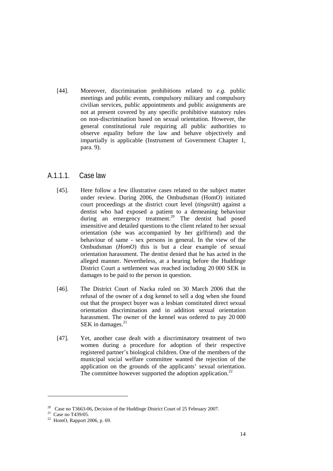[44]. Moreover, discrimination prohibitions related to *e.g.* public meetings and public events, compulsory military and compulsory civilian services, public appointments and public assignments are not at present covered by any specific prohibitive statutory rules on non-discrimination based on sexual orientation. However, the general constitutional rule requiring all public authorities to observe equality before the law and behave objectively and impartially is applicable (Instrument of Government Chapter 1, para. 9).

#### A.1.1.1. Case law

- [45]. Here follow a few illustrative cases related to the subject matter under review. During 2006, the Ombudsman (HomO) initiated court proceedings at the district court level (*tingsrätt*) against a dentist who had exposed a patient to a demeaning behaviour during an emergency treatment.20 The dentist had posed insensitive and detailed questions to the client related to her sexual orientation (she was accompanied by her girlfriend) and the behaviour of same - sex persons in general. In the view of the Ombudsman (*HomO*) this is but a clear example of sexual orientation harassment. The dentist denied that he has acted in the alleged manner. Nevertheless, at a hearing before the Huddinge District Court a settlement was reached including 20 000 SEK in damages to be paid to the person in question.
- [46]. The District Court of Nacka ruled on 30 March 2006 that the refusal of the owner of a dog kennel to sell a dog when she found out that the prospect buyer was a lesbian constituted direct sexual orientation discrimination and in addition sexual orientation harassment. The owner of the kennel was ordered to pay 20 000 SEK in damages. $^{21}$
- [47]. Yet, another case dealt with a discriminatory treatment of two women during a procedure for adoption of their respective registered partner's biological children. One of the members of the municipal social welfare committee wanted the rejection of the application on the grounds of the applicants' sexual orientation. The committee however supported the adoption application.<sup>22</sup>

<sup>&</sup>lt;sup>20</sup> Case no T3663-06, Decision of the Huddinge District Court of 25 February 2007.<br><sup>21</sup> Case no T439/05.

<sup>22</sup> HomO, Rapport 2006, p. 69.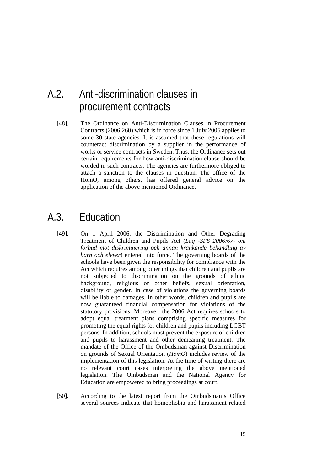## A.2. Anti-discrimination clauses in procurement contracts

[48]. The Ordinance on Anti-Discrimination Clauses in Procurement Contracts (2006:260) which is in force since 1 July 2006 applies to some 30 state agencies. It is assumed that these regulations will counteract discrimination by a supplier in the performance of works or service contracts in Sweden. Thus, the Ordinance sets out certain requirements for how anti-discrimination clause should be worded in such contracts. The agencies are furthermore obliged to attach a sanction to the clauses in question. The office of the HomO, among others, has offered general advice on the application of the above mentioned Ordinance.

### A.3. Education

- [49]. On 1 April 2006, the Discrimination and Other Degrading Treatment of Children and Pupils Act (*Lag -SFS 2006:67- om förbud mot diskriminering och annan kränkande behandling av barn och elever*) entered into force. The governing boards of the schools have been given the responsibility for compliance with the Act which requires among other things that children and pupils are not subjected to discrimination on the grounds of ethnic background, religious or other beliefs, sexual orientation, disability or gender. In case of violations the governing boards will be liable to damages. In other words, children and pupils are now guaranteed financial compensation for violations of the statutory provisions. Moreover, the 2006 Act requires schools to adopt equal treatment plans comprising specific measures for promoting the equal rights for children and pupils including LGBT persons. In addition, schools must prevent the exposure of children and pupils to harassment and other demeaning treatment. The mandate of the Office of the Ombudsman against Discrimination on grounds of Sexual Orientation (*HomO*) includes review of the implementation of this legislation. At the time of writing there are no relevant court cases interpreting the above mentioned legislation. The Ombudsman and the National Agency for Education are empowered to bring proceedings at court.
- [50]. According to the latest report from the Ombudsman's Office several sources indicate that homophobia and harassment related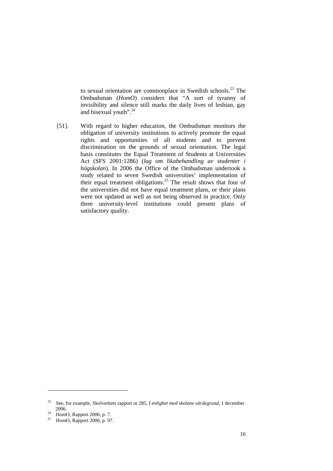to sexual orientation are commonplace in Swedish schools.<sup>23</sup> The Ombudsman (*HomO*) considers that "A sort of tyranny of invisibility and silence still marks the daily lives of lesbian, gay and bisexual youth". $^{24}$ 

[51]. With regard to higher education, the Ombudsman monitors the obligation of university institutions to actively promote the equal rights and opportunities of all students and to prevent discrimination on the grounds of sexual orientation. The legal basis constitutes the Equal Treatment of Students at Universities Act (SFS 2001:1286) (*lag om likabehandling av studenter i högskolan*). In 2006 the Office of the Ombudsman undertook a study related to seven Swedish universities' implementation of their equal treatment obligations.<sup>25</sup> The result shows that four of the universities did not have equal treatment plans, or their plans were not updated as well as not being observed in practice. Only three university-level institutions could present plans of satisfactory quality.

<sup>23</sup> See, for example, Skolverkets rapport nr 285, *I enlighet med skolans värdegrund*, 1 december 2006.<br>
<sup>24</sup> HomO, Rapport 2006, p. 7.<br>
<sup>25</sup> HomO, Bennert 2006, p. 97.

HomO, Rapport 2006, p. 97.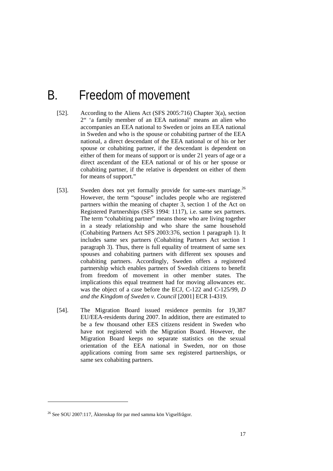## B. Freedom of movement

- [52]. According to the Aliens Act (SFS 2005:716) Chapter 3(a), section 2" 'a family member of an EEA national' means an alien who accompanies an EEA national to Sweden or joins an EEA national in Sweden and who is the spouse or cohabiting partner of the EEA national, a direct descendant of the EEA national or of his or her spouse or cohabiting partner, if the descendant is dependent on either of them for means of support or is under 21 years of age or a direct ascendant of the EEA national or of his or her spouse or cohabiting partner, if the relative is dependent on either of them for means of support."
- [53]. Sweden does not yet formally provide for same-sex marriage.<sup>26</sup> However, the term "spouse" includes people who are registered partners within the meaning of chapter 3, section 1 of the Act on Registered Partnerships (SFS 1994: 1117), i.e. same sex partners. The term "cohabiting partner" means those who are living together in a steady relationship and who share the same household (Cohabiting Partners Act SFS 2003:376, section 1 paragraph 1). It includes same sex partners (Cohabiting Partners Act section 1 paragraph 3). Thus, there is full equality of treatment of same sex spouses and cohabiting partners with different sex spouses and cohabiting partners. Accordingly, Sweden offers a registered partnership which enables partners of Swedish citizens to benefit from freedom of movement in other member states. The implications this equal treatment had for moving allowances etc. was the object of a case before the ECJ, C-122 and C-125/99, *D and the Kingdom of Sweden v. Council* [2001] ECR I-4319.
- [54]. The Migration Board issued residence permits for 19,387 EU/EEA-residents during 2007. In addition, there are estimated to be a few thousand other EES citizens resident in Sweden who have not registered with the Migration Board. However, the Migration Board keeps no separate statistics on the sexual orientation of the EEA national in Sweden, nor on those applications coming from same sex registered partnerships, or same sex cohabiting partners.

<sup>26</sup> See SOU 2007:117, Äktenskap för par med samma kön Vigselfrågor.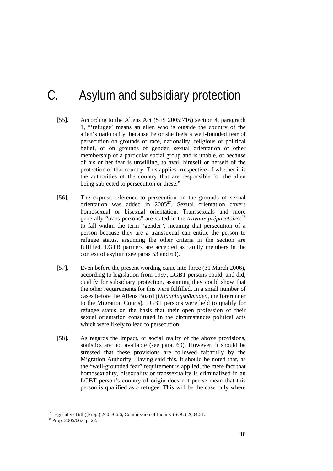## C. Asylum and subsidiary protection

- [55]. According to the Aliens Act (SFS 2005:716) section 4, paragraph 1, "'refugee' means an alien who is outside the country of the alien's nationality, because he or she feels a well-founded fear of persecution on grounds of race, nationality, religious or political belief, or on grounds of gender, sexual orientation or other membership of a particular social group and is unable, or because of his or her fear is unwilling, to avail himself or herself of the protection of that country. This applies irrespective of whether it is the authorities of the country that are responsible for the alien being subjected to persecution or these."
- [56]. The express reference to persecution on the grounds of sexual orientation was added in  $2005^{27}$ . Sexual orientation covers homosexual or bisexual orientation. Transsexuals and more generally "trans persons" are stated in the *travaux préparatoires*<sup>28</sup> to fall within the term "gender", meaning that persecution of a person because they are a transsexual can entitle the person to refugee status, assuming the other criteria in the section are fulfilled. LGTB partners are accepted as family members in the context of asylum (see paras 53 and 63).
- [57]. Even before the present wording came into force (31 March 2006), according to legislation from 1997, LGBT persons could, and did, qualify for subsidiary protection, assuming they could show that the other requirements for this were fulfilled. In a small number of cases before the Aliens Board (*Utlänningsnämnden*, the forerunner to the Migration Courts), LGBT persons were held to qualify for refugee status on the basis that their open profession of their sexual orientation constituted in the circumstances political acts which were likely to lead to persecution.
- [58]. As regards the impact, or social reality of the above provisions, statistics are not available (see para. 60). However, it should be stressed that these provisions are followed faithfully by the Migration Authority. Having said this, it should be noted that, as the "well-grounded fear" requirement is applied, the mere fact that homosexuality, bisexuality or transsexuality is criminalized in an LGBT person's country of origin does not per se mean that this person is qualified as a refugee. This will be the case only where

<sup>&</sup>lt;sup>27</sup> Legislative Bill ([Prop.) 2005/06:6, Commission of Inquiry (SOU) 2004:31.

 $28$  Prop. 2005/06:6 p. 22.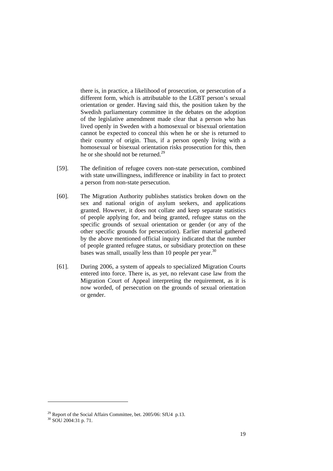there is, in practice, a likelihood of prosecution, or persecution of a different form, which is attributable to the LGBT person's sexual orientation or gender. Having said this, the position taken by the Swedish parliamentary committee in the debates on the adoption of the legislative amendment made clear that a person who has lived openly in Sweden with a homosexual or bisexual orientation cannot be expected to conceal this when he or she is returned to their country of origin. Thus, if a person openly living with a homosexual or bisexual orientation risks prosecution for this, then he or she should not be returned.<sup>29</sup>

- [59]. The definition of refugee covers non-state persecution, combined with state unwillingness, indifference or inability in fact to protect a person from non-state persecution.
- [60]. The Migration Authority publishes statistics broken down on the sex and national origin of asylum seekers, and applications granted. However, it does not collate and keep separate statistics of people applying for, and being granted, refugee status on the specific grounds of sexual orientation or gender (or any of the other specific grounds for persecution). Earlier material gathered by the above mentioned official inquiry indicated that the number of people granted refugee status, or subsidiary protection on these bases was small, usually less than 10 people per year. $30$
- [61]. During 2006, a system of appeals to specialized Migration Courts entered into force. There is, as yet, no relevant case law from the Migration Court of Appeal interpreting the requirement, as it is now worded, of persecution on the grounds of sexual orientation or gender.

-

 $^{29}$  Report of the Social Affairs Committee, bet. 2005/06: SfU4 p.13.

<sup>30</sup> SOU 2004:31 p. 71.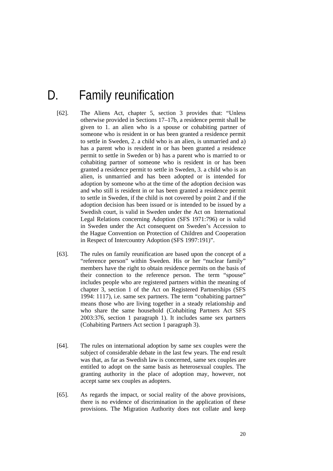## D. Family reunification

- [62]. The Aliens Act, chapter 5, section 3 provides that: "Unless otherwise provided in Sections 17–17b, a residence permit shall be given to 1. an alien who is a spouse or cohabiting partner of someone who is resident in or has been granted a residence permit to settle in Sweden, 2. a child who is an alien, is unmarried and a) has a parent who is resident in or has been granted a residence permit to settle in Sweden or b) has a parent who is married to or cohabiting partner of someone who is resident in or has been granted a residence permit to settle in Sweden, 3. a child who is an alien, is unmarried and has been adopted or is intended for adoption by someone who at the time of the adoption decision was and who still is resident in or has been granted a residence permit to settle in Sweden, if the child is not covered by point 2 and if the adoption decision has been issued or is intended to be issued by a Swedish court, is valid in Sweden under the Act on International Legal Relations concerning Adoption (SFS 1971:796) or is valid in Sweden under the Act consequent on Sweden's Accession to the Hague Convention on Protection of Children and Cooperation in Respect of Intercountry Adoption (SFS 1997:191)".
- [63]. The rules on family reunification are based upon the concept of a "reference person" within Sweden. His or her "nuclear family" members have the right to obtain residence permits on the basis of their connection to the reference person. The term "spouse" includes people who are registered partners within the meaning of chapter 3, section 1 of the Act on Registered Partnerships (SFS 1994: 1117), i.e. same sex partners. The term "cohabiting partner" means those who are living together in a steady relationship and who share the same household (Cohabiting Partners Act SFS 2003:376, section 1 paragraph 1). It includes same sex partners (Cohabiting Partners Act section 1 paragraph 3).
- [64]. The rules on international adoption by same sex couples were the subject of considerable debate in the last few years. The end result was that, as far as Swedish law is concerned, same sex couples are entitled to adopt on the same basis as heterosexual couples. The granting authority in the place of adoption may, however, not accept same sex couples as adopters.
- [65]. As regards the impact, or social reality of the above provisions, there is no evidence of discrimination in the application of these provisions. The Migration Authority does not collate and keep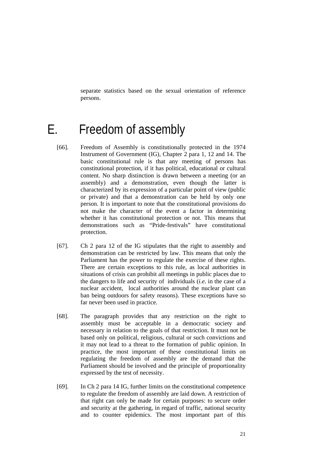separate statistics based on the sexual orientation of reference persons.

## E. Freedom of assembly

- [66]. Freedom of Assembly is constitutionally protected in the 1974 Instrument of Government (IG), Chapter 2 para 1, 12 and 14. The basic constitutional rule is that any meeting of persons has constitutional protection, if it has political, educational or cultural content. No sharp distinction is drawn between a meeting (or an assembly) and a demonstration, even though the latter is characterized by its expression of a particular point of view (public or private) and that a demonstration can be held by only one person. It is important to note that the constitutional provisions do not make the character of the event a factor in determining whether it has constitutional protection or not. This means that demonstrations such as "Pride-festivals" have constitutional protection.
- [67]. Ch 2 para 12 of the IG stipulates that the right to assembly and demonstration can be restricted by law. This means that only the Parliament has the power to regulate the exercise of these rights. There are certain exceptions to this rule, as local authorities in situations of crisis can prohibit all meetings in public places due to the dangers to life and security of individuals (*i.e*. in the case of a nuclear accident, local authorities around the nuclear plant can ban being outdoors for safety reasons). These exceptions have so far never been used in practice.
- [68]. The paragraph provides that any restriction on the right to assembly must be acceptable in a democratic society and necessary in relation to the goals of that restriction. It must not be based only on political, religious, cultural or such convictions and it may not lead to a threat to the formation of public opinion. In practice, the most important of these constitutional limits on regulating the freedom of assembly are the demand that the Parliament should be involved and the principle of proportionality expressed by the test of necessity.
- [69]. In Ch 2 para 14 IG, further limits on the constitutional competence to regulate the freedom of assembly are laid down. A restriction of that right can only be made for certain purposes: to secure order and security at the gathering, in regard of traffic, national security and to counter epidemics. The most important part of this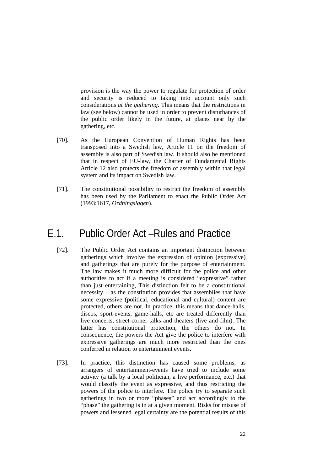provision is the way the power to regulate for protection of order and security is reduced to taking into account only such considerations *at the gathering*. This means that the restrictions in law (see below) cannot be used in order to prevent disturbances of the public order likely in the future, at places near by the gathering, etc.

- [70]. As the European Convention of Human Rights has been transposed into a Swedish law, Article 11 on the freedom of assembly is also part of Swedish law. It should also be mentioned that in respect of EU-law, the Charter of Fundamental Rights Article 12 also protects the freedom of assembly within that legal system and its impact on Swedish law.
- [71]. The constitutional possibility to restrict the freedom of assembly has been used by the Parliament to enact the Public Order Act (1993:1617, *Ordningslagen*).

### E.1. Public Order Act –Rules and Practice

- [72]. The Public Order Act contains an important distinction between gatherings which involve the expression of opinion (expressive) and gatherings that are purely for the purpose of entertainment. The law makes it much more difficult for the police and other authorities to act if a meeting is considered "expressive" rather than just entertaining, This distinction felt to be a constitutional necessity – as the constitution provides that assemblies that have some expressive (political, educational and cultural) content are protected, others are not. In practice, this means that dance-halls, discos, sport-events, game-halls, etc are treated differently than live concerts, street-corner talks and theaters (live and film). The latter has constitutional protection, the others do not. In consequence, the powers the Act give the police to interfere with expressive gatherings are much more restricted than the ones conferred in relation to entertainment events.
- [73]. In practice, this distinction has caused some problems, as arrangers of entertainment-events have tried to include some activity (a talk by a local politician, a live performance, etc.) that would classify the event as expressive, and thus restricting the powers of the police to interfere. The police try to separate such gatherings in two or more "phases" and act accordingly to the "phase" the gathering is in at a given moment. Risks for misuse of powers and lessened legal certainty are the potential results of this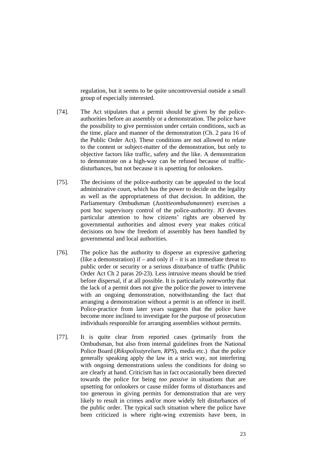regulation, but it seems to be quite uncontroversial outside a small group of especially interested.

- [74]. The Act stipulates that a permit should be given by the policeauthorities before an assembly or a demonstration. The police have the possibility to give permission under certain conditions, such as the time, place and manner of the demonstration (Ch. 2 para 16 of the Public Order Act). These conditions are not allowed to relate to the content or subject-matter of the demonstration, but only to objective factors like traffic, safety and the like. A demonstration to demonstrate on a high-way can be refused because of trafficdisturbances, but not because it is upsetting for onlookers.
- [75]. The decisions of the police-authority can be appealed to the local administrative court, which has the power to decide on the legality as well as the appropriateness of that decision. In addition, the Parliamentary Ombudsman (*Justitieombudsmannen*) exercises a post hoc supervisory control of the police-authority. JO devotes particular attention to how citizens' rights are observed by governmental authorities and almost every year makes critical decisions on how the freedom of assembly has been handled by governmental and local authorities.
- [76]. The police has the authority to disperse an expressive gathering (like a demonstration) if – and only if – it is an immediate threat to public order or security or a serious disturbance of traffic (Public Order Act Ch 2 paras 20-23). Less intrusive means should be tried before dispersal, if at all possible. It is particularly noteworthy that the lack of a permit does not give the police the power to intervene with an ongoing demonstration, notwithstanding the fact that arranging a demonstration without a permit is an offence in itself. Police-practice from later years suggests that the police have become more inclined to investigate for the purpose of prosecution individuals responsible for arranging assemblies without permits.
- [77]. It is quite clear from reported cases (primarily from the Ombudsman, but also from internal guidelines from the National Police Board (*Rikspolisstyrelsen, RPS*), media etc.) that the police generally speaking apply the law in a strict way, not interfering with ongoing demonstrations unless the conditions for doing so are clearly at hand. Criticism has in fact occasionally been directed towards the police for being *too passive* in situations that are upsetting for onlookers or cause milder forms of disturbances and too generous in giving permits for demonstration that are very likely to result in crimes and/or more widely felt disturbances of the public order. The typical such situation where the police have been criticized is where right-wing extremists have been, in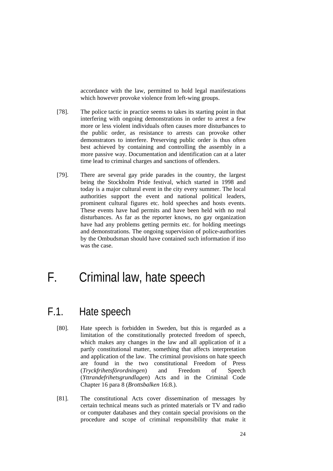accordance with the law, permitted to hold legal manifestations which however provoke violence from left-wing groups.

- [78]. The police tactic in practice seems to takes its starting point in that interfering with ongoing demonstrations in order to arrest a few more or less violent individuals often causes more disturbances to the public order, as resistance to arrests can provoke other demonstrators to interfere. Preserving public order is thus often best achieved by containing and controlling the assembly in a more passive way. Documentation and identification can at a later time lead to criminal charges and sanctions of offenders.
- [79]. There are several gay pride parades in the country, the largest being the Stockholm Pride festival, which started in 1998 and today is a major cultural event in the city every summer. The local authorities support the event and national political leaders, prominent cultural figures etc. hold speeches and hosts events. These events have had permits and have been held with no real disturbances. As far as the reporter knows, no gay organization have had any problems getting permits etc. for holding meetings and demonstrations. The ongoing supervision of police-authorities by the Ombudsman should have contained such information if itso was the case.

## F. Criminal law, hate speech

### F.1. Hate speech

- [80]. Hate speech is forbidden in Sweden, but this is regarded as a limitation of the constitutionally protected freedom of speech, which makes any changes in the law and all application of it a partly constitutional matter, something that affects interpretation and application of the law. The criminal provisions on hate speech are found in the two constitutional Freedom of Press (*Tryckfrihetsförordningen*) and Freedom of Speech (*Yttrandefrihetsgrundlagen*) Acts and in the Criminal Code Chapter 16 para 8 (*Brottsbalken* 16:8.).
- [81]. The constitutional Acts cover dissemination of messages by certain technical means such as printed materials or TV and radio or computer databases and they contain special provisions on the procedure and scope of criminal responsibility that make it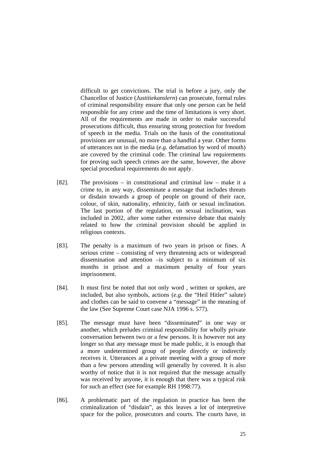difficult to get convictions. The trial is before a jury, only the Chancellor of Justice (*Justitiekanslern*) can prosecute, formal rules of criminal responsibility ensure that only one person can be held responsible for any crime and the time of limitations is very short. All of the requirements are made in order to make successful prosecutions difficult, thus ensuring strong protection for freedom of speech in the media. Trials on the basis of the constitutional provisions are unusual, no more than a handful a year. Other forms of utterances not in the media (*e.g*. defamation by word of mouth) are covered by the criminal code. The criminal law requirements for proving such speech crimes are the same, however, the above special procedural requirements do not apply.

- [82]. The provisions in constitutional and criminal law make it a crime to, in any way, disseminate a message that includes threats or disdain towards a group of people on ground of their race, colour, of skin, nationality, ethnicity, faith or sexual inclination. The last portion of the regulation, on sexual inclination, was included in 2002, after some rather extensive debate that mainly related to how the criminal provision should be applied in religious contexts.
- [83]. The penalty is a maximum of two years in prison or fines. A serious crime – consisting of very threatening acts or widespread dissemination and attention –is subject to a minimum of six months in prison and a maximum penalty of four years imprisonment.
- [84]. It must first be noted that not only word, written or spoken, are included, but also symbols, actions (*e.g*. the "Heil Hitler" salute) and clothes can be said to convene a "message" in the meaning of the law (See Supreme Court case NJA 1996 s. 577).
- [85]. The message must have been "disseminated" in one way or another, which preludes criminal responsibility for wholly private conversation between two or a few persons. It is however not any longer so that any message must be made public, it is enough that a more undetermined group of people directly or indirectly receives it. Utterances at a private meeting with a group of more than a few persons attending will generally by covered. It is also worthy of notice that it is not required that the message actually was received by anyone, it is enough that there was a typical risk for such an effect (see for example RH 1998:77).
- [86]. A problematic part of the regulation in practice has been the criminalization of "disdain", as this leaves a lot of interpretive space for the police, prosecutors and courts. The courts have, in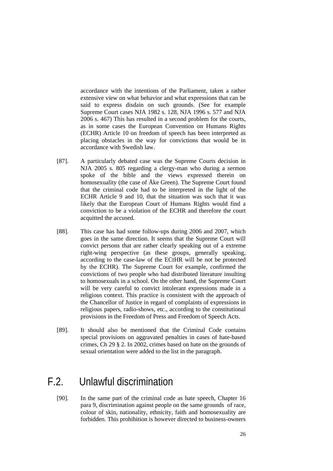accordance with the intentions of the Parliament, taken a rather extensive view on what behavior and what expressions that can be said to express disdain on such grounds. (See for example Supreme Court cases NJA 1982 s. 128, NJA 1996 s. 577 and NJA 2006 s. 467) This has resulted in a second problem for the courts, as in some cases the European Convention on Humans Rights (ECHR) Article 10 on freedom of speech has been interpreted as placing obstacles in the way for convictions that would be in accordance with Swedish law.

- [87]. A particularly debated case was the Supreme Courts decision in NJA 2005 s. 805 regarding a clergy-man who during a sermon spoke of the bible and the views expressed therein on homosexuality (the case of Åke Green). The Supreme Court found that the criminal code had to be interpreted in the light of the ECHR Article 9 and 10, that the situation was such that it was likely that the European Court of Humans Rights would find a conviction to be a violation of the ECHR and therefore the court acquitted the accused.
- [88]. This case has had some follow-ups during 2006 and 2007, which goes in the same direction. It seems that the Supreme Court will convict persons that are rather clearly speaking out of a extreme right-wing perspective (as these groups, generally speaking, according to the case-law of the ECtHR will be not be protected by the ECHR). The Supreme Court for example, confirmed the convictions of two people who had distributed literature insulting to homosexuals in a school. On the other hand, the Supreme Court will be very careful to convict intolerant expressions made in a religious context. This practice is consistent with the approach of the Chancellor of Justice in regard of complaints of expressions in religious papers, radio-shows, etc., according to the constitutional provisions in the Freedom of Press and Freedom of Speech Acts.
- [89]. It should also be mentioned that the Criminal Code contains special provisions on aggravated penalties in cases of hate-based crimes, Ch 29 § 2. In 2002, crimes based on hate on the grounds of sexual orientation were added to the list in the paragraph.

## F.2. Unlawful discrimination

[90]. In the same part of the criminal code as hate speech, Chapter 16 para 9, discrimination against people on the same grounds of race, colour of skin, nationality, ethnicity, faith and homosexuality are forbidden. This prohibition is however directed to business-owners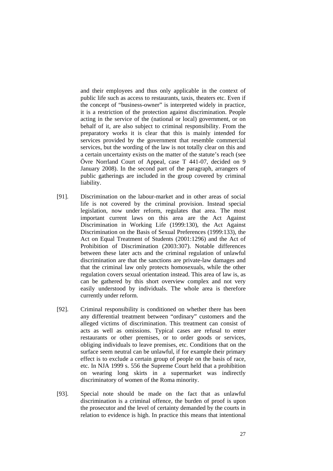and their employees and thus only applicable in the context of public life such as access to restaurants, taxis, theaters etc. Even if the concept of "business-owner" is interpreted widely in practice, it is a restriction of the protection against discrimination. People acting in the service of the (national or local) government, or on behalf of it, are also subject to criminal responsibility. From the preparatory works it is clear that this is mainly intended for services provided by the government that resemble commercial services, but the wording of the law is not totally clear on this and a certain uncertainty exists on the matter of the statute's reach (see Övre Norrland Court of Appeal, case T 441-07, decided on 9 January 2008). In the second part of the paragraph, arrangers of public gatherings are included in the group covered by criminal liability.

- [91]. Discrimination on the labour-market and in other areas of social life is not covered by the criminal provision. Instead special legislation, now under reform, regulates that area. The most important current laws on this area are the Act Against Discrimination in Working Life (1999:130), the Act Against Discrimination on the Basis of Sexual Preferences (1999:133), the Act on Equal Treatment of Students (2001:1296) and the Act of Prohibition of Discrimination (2003:307). Notable differences between these later acts and the criminal regulation of unlawful discrimination are that the sanctions are private-law damages and that the criminal law only protects homosexuals, while the other regulation covers sexual orientation instead. This area of law is, as can be gathered by this short overview complex and not very easily understood by individuals. The whole area is therefore currently under reform.
- [92]. Criminal responsibility is conditioned on whether there has been any differential treatment between "ordinary" customers and the alleged victims of discrimination. This treatment can consist of acts as well as omissions. Typical cases are refusal to enter restaurants or other premises, or to order goods or services, obliging individuals to leave premises, etc. Conditions that on the surface seem neutral can be unlawful, if for example their primary effect is to exclude a certain group of people on the basis of race, etc. In NJA 1999 s. 556 the Supreme Court held that a prohibition on wearing long skirts in a supermarket was indirectly discriminatory of women of the Roma minority.
- [93]. Special note should be made on the fact that as unlawful discrimination is a criminal offence, the burden of proof is upon the prosecutor and the level of certainty demanded by the courts in relation to evidence is high. In practice this means that intentional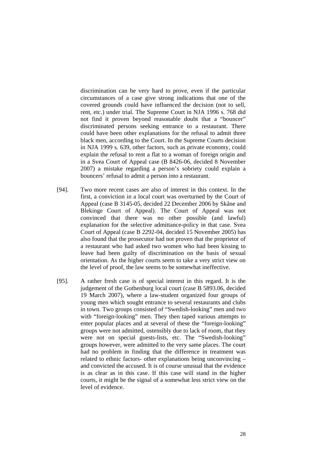discrimination can be very hard to prove, even if the particular circumstances of a case give strong indications that one of the covered grounds could have influenced the decision (not to sell, rent, etc.) under trial. The Supreme Court in NJA 1996 s. 768 did not find it proven beyond reasonable doubt that a "bouncer" discriminated persons seeking entrance to a restaurant. There could have been other explanations for the refusal to admit three black men, according to the Court. In the Supreme Courts decision in NJA 1999 s. 639, other factors, such as private economy, could explain the refusal to rent a flat to a woman of foreign origin and in a Svea Court of Appeal case (B 8426-06, decided 8 November 2007) a mistake regarding a person's sobriety could explain a bouncers' refusal to admit a person into a restaurant.

- [94]. Two more recent cases are also of interest in this context. In the first, a conviction in a local court was overturned by the Court of Appeal (case B 3145-05, decided 22 December 2006 by Skåne and Blekinge Court of Appeal). The Court of Appeal was not convinced that there was no other possible (and lawful) explanation for the selective admittance-policy in that case. Svea Court of Appeal (case B 2292-04, decided 15 November 2005) has also found that the prosecutor had not proven that the proprietor of a restaurant who had asked two women who had been kissing to leave had been guilty of discrimination on the basis of sexual orientation. As the higher courts seem to take a very strict view on the level of proof, the law seems to be somewhat ineffective.
- [95]. A rather fresh case is of special interest in this regard. It is the judgement of the Gothenburg local court (case B 5893.06, decided 19 March 2007), where a law-student organized four groups of young men which sought entrance to several restaurants and clubs in town. Two groups consisted of "Swedish-looking" men and two with "foreign-looking" men. They then taped various attempts to enter popular places and at several of these the "foreign-looking" groups were not admitted, ostensibly due to lack of room, that they were not on special guests-lists, etc. The "Swedish-looking" groups however, were admitted to the very same places. The court had no problem in finding that the difference in treatment was related to ethnic factors- other explanations being unconvincing – and convicted the accused. It is of course unusual that the evidence is as clear as in this case. If this case will stand in the higher courts, it might be the signal of a somewhat less strict view on the level of evidence.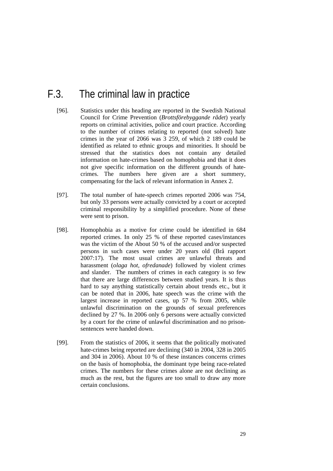## F.3. The criminal law in practice

- [96]. Statistics under this heading are reported in the Swedish National Council for Crime Prevention (*Brottsförebyggande rådet*) yearly reports on criminal activities, police and court practice. According to the number of crimes relating to reported (not solved) hate crimes in the year of 2066 was 3 259, of which 2 189 could be identified as related to ethnic groups and minorities. It should be stressed that the statistics does not contain any detailed information on hate-crimes based on homophobia and that it does not give specific information on the different grounds of hatecrimes. The numbers here given are a short summery, compensating for the lack of relevant information in Annex 2.
- [97]. The total number of hate-speech crimes reported 2006 was 754, but only 33 persons were actually convicted by a court or accepted criminal responsibility by a simplified procedure. None of these were sent to prison.
- [98]. Homophobia as a motive for crime could be identified in 684 reported crimes. In only 25 % of these reported cases/instances was the victim of the About 50 % of the accused and/or suspected persons in such cases were under 20 years old (Brå rapport 2007:17). The most usual crimes are unlawful threats and harassment (*olaga hot, ofredanade*) followed by violent crimes and slander. The numbers of crimes in each category is so few that there are large differences between studied years. It is thus hard to say anything statistically certain about trends etc., but it can be noted that in 2006, hate speech was the crime with the largest increase in reported cases, up 57 % from 2005, while unlawful discrimination on the grounds of sexual preferences declined by 27 %. In 2006 only 6 persons were actually convicted by a court for the crime of unlawful discrimination and no prisonsentences were handed down.
- [99]. From the statistics of 2006, it seems that the politically motivated hate-crimes being reported are declining (340 in 2004, 328 in 2005 and 304 in 2006). About 10 % of these instances concerns crimes on the basis of homophobia, the dominant type being race-related crimes. The numbers for these crimes alone are not declining as much as the rest, but the figures are too small to draw any more certain conclusions.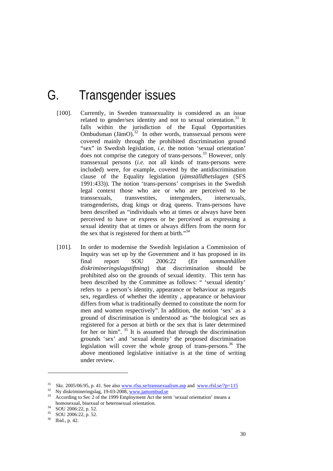# G. Transgender issues

- [100]. Currently, in Sweden transsexuality is considered as an issue related to gender/sex identity and not to sexual orientation.<sup>31</sup> It falls within the jurisdiction of the Equal Opportunities Ombudsman  $(J\ddot{a}mO)^{32}$  In other words, transsexual persons were covered mainly through the prohibited discrimination ground "sex" in Swedish legislation, *i.e*. the notion 'sexual orientation' does not comprise the category of trans-persons.<sup>33</sup> However, only transsexual persons (*i.e.* not all kinds of trans-persons were included) were, for example, covered by the antidiscrimination clause of the Equality legislation (*jämställdhetslagen* (SFS 1991:433)). The notion 'trans-persons' comprises in the Swedish legal context those who are or who are perceived to be transsexuals, transvestites, intergenders, intersexuals, transgenderists, drag kings or drag queens. Trans-persons have been described as "individuals who at times or always have been perceived to have or express or be perceived as expressing a sexual identity that at times or always differs from the norm for the sex that is registered for them at birth."<sup>34</sup>
- [101]. In order to modernise the Swedish legislation a Commission of Inquiry was set up by the Government and it has proposed in its final report SOU 2006:22 (*En sammanhållen diskrimineringslagstiftning*) that discrimination should be prohibited also on the grounds of sexual identity. This term has been described by the Committee as follows: " 'sexual identity' refers to a person's identity, appearance or behaviour as regards sex, regardless of whether the identity , appearance or behaviour differs from what is traditionally deemed to constitute the norm for men and women respectively". In addition, the notion 'sex' as a ground of discrimination is understood as "the biological sex as registered for a person at birth or the sex that is later determined for her or him".  $35$  It is assumed that through the discrimination grounds 'sex' and 'sexual identity' the proposed discrimination legislation will cover the whole group of trans-persons.<sup>36</sup> The above mentioned legislative initiative is at the time of writing under review.

-

<sup>&</sup>lt;sup>31</sup> Skr. 2005/06:95, p. 41. See also <u>www.rfsu.se/transsexualism.asp</u> and <u>www.rfsl.se/?p=115</u><br><sup>32</sup> Ny diskrimineringslag, 19-03-2008, www.jamombud.se<br><sup>33</sup> According to Sec 2 of the 1999 Employment Act the term 'sexual o

homosexual, bisexual or heterosexual orientation.<br>  $\frac{34}{1000}$  SOU 2006:22, p. 52.<br>  $\frac{35}{1000}$  SOU 2006:22, p. 52.

 $^{35}$  SOU 2006:22, p. 52.

Ibid., p. 42.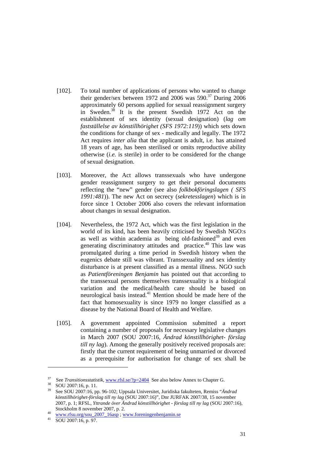- [102]. To total number of applications of persons who wanted to change their gender/sex between 1972 and 2006 was  $590.<sup>37</sup>$  During 2006 approximately 60 persons applied for sexual reassignment surgery in Sweden.38 It is the present Swedish 1972 Act on the establishment of sex identity (sexual designation) (*lag om fastställelse av könstillhörighet (SFS 1972:119*)) which sets down the conditions for change of sex - medically and legally. The 1972 Act requires *inter alia* that the applicant is adult, i.e. has attained 18 years of age, has been sterilised or omits reproductive ability otherwise (*i.e.* is sterile) in order to be considered for the change of sexual designation.
- [103]. Moreover, the Act allows transsexuals who have undergone gender reassignment surgery to get their personal documents reflecting the "new" gender (see also *folkbokföringslagen ( SFS 1991:481*)). The new Act on secrecy (*sekretesslagen*) which is in force since 1 October 2006 also covers the relevant information about changes in sexual designation.
- [104]. Nevertheless, the 1972 Act, which was the first legislation in the world of its kind, has been heavily criticised by Swedish NGO:s as well as within academia as being old-fashioned $39$  and even generating discriminatory attitudes and practice.<sup>40</sup> This law was promulgated during a time period in Swedish history when the eugenics debate still was vibrant. Transsexuality and sex identity disturbance is at present classified as a mental illness. NGO such as *Patientföreningen Benjamin* has pointed out that according to the transsexual persons themselves transsexuality is a biological variation and the medical/health care should be based on neurological basis instead.41 Mention should be made here of the fact that homosexuality is since 1979 no longer classified as a disease by the National Board of Health and Welfare.
- [105]. A government appointed Commission submitted a report containing a number of proposals for necessary legislative changes in March 2007 (SOU 2007:16, *Ändrad könstillhörighet- förslag till ny lag*). Among the generally positively received proposals are: firstly that the current requirement of being unmarried or divorced as a prerequisite for authorisation for change of sex shall be

<sup>&</sup>lt;sup>37</sup> See *Transitionsstatistik*, www.rfsl.se/?p=2404 See also below Annex to Chapter G.<br><sup>38</sup> SOU 2007:16, p. 11.

<sup>39</sup> See SOU 2007:16, pp. 96-102; Uppsala Universitet, Juridiska fakulteten, Remiss "*Ändrad könstillhörighet-förslag till ny lag* (SOU 2007:16)", Dnr JURFAK 2007/38, 15 november 2007, p. 1; RFSL, *Yttrande över Ändrad könstillhörighet - förslag till ny lag* (SOU 2007:16),

Stockholm 8 november 2007, p. 2.<br>
<sup>40</sup> www.rfsu.org/sou\_2007\_16asp ; www.foreningenbenjamin.se<br>
<sup>41</sup> SOU 2007:16, p. 97.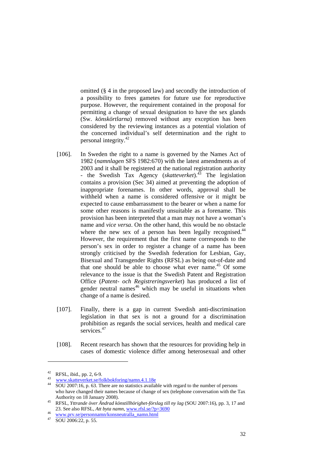omitted (§ 4 in the proposed law) and secondly the introduction of a possibility to frees gametes for future use for reproductive purpose. However, the requirement contained in the proposal for permitting a change of sexual designation to have the sex glands (Sw. *könskörtlarna*) removed without any exception has been considered by the reviewing instances as a potential violation of the concerned individual's self determination and the right to personal integrity.42

- [106]. In Sweden the right to a name is governed by the Names Act of 1982 (*namnlagen* SFS 1982:670) with the latest amendments as of 2003 and it shall be registered at the national registration authority - the Swedish Tax Agency (*skatteverket*).43 The legislation contains a provision (Sec 34) aimed at preventing the adoption of inappropriate forenames. In other words, approval shall be withheld when a name is considered offensive or it might be expected to cause embarrassment to the bearer or when a name for some other reasons is manifestly unsuitable as a forename. This provision has been interpreted that a man may not have a woman's name and *vice versa*. On the other hand, this would be no obstacle where the new sex of a person has been legally recognised.<sup>44</sup> However, the requirement that the first name corresponds to the person's sex in order to register a change of a name has been strongly criticised by the Swedish federation for Lesbian, Gay, Bisexual and Transgender Rights (RFSL) as being out-of-date and that one should be able to choose what ever name.45 Of some relevance to the issue is that the Swedish Patent and Registration Office (*Patent- och Registreringsverket*) has produced a list of gender neutral names $46$  which may be useful in situations when change of a name is desired.
- [107]. Finally, there is a gap in current Swedish anti-discrimination legislation in that sex is not a ground for a discrimination prohibition as regards the social services, health and medical care services.<sup>47</sup>
- [108]. Recent research has shown that the resources for providing help in cases of domestic violence differ among heterosexual and other

 $RFSL$ , ibid., pp. 2, 6-9.

<sup>&</sup>lt;sup>43</sup> www.skatteverket.se/folkbokforing/namn.4.1.18e<br><sup>44</sup> SOU 2007:16, p. 63. There are no statistics available with regard to the number of persons who have changed their names because of change of sex (telephone conversation with the Tax Authority on 18 January 2008). 45 RFSL, *Yttrande över Ändrad könstillhörighet-förslag till ny lag* (SOU 2007:16), pp. 3, 17 and

<sup>23.</sup> See also RFSL, *Att byta namn*, <u>www.rfsl.se/?p=3690</u><br><sup>46</sup> www.prv.se/personnamn/konsneutralla\_namn.html 47 SOU 2006:22, p. 55.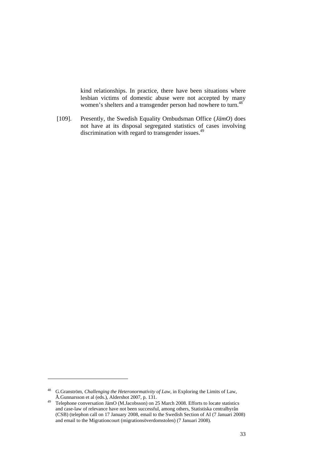kind relationships. In practice, there have been situations where lesbian victims of domestic abuse were not accepted by many women's shelters and a transgender person had nowhere to turn.<sup>48</sup>

[109]. Presently, the Swedish Equality Ombudsman Office (*JämO*) does not have at its disposal segregated statistics of cases involving discrimination with regard to transgender issues. $49$ 

<sup>48</sup> G.Granström, *Challenging the Heteronormativity of Law*, in Exploring the Limits of Law, Å.Gunnarsson et al (eds.), Aldershot 2007, p. 131.<br><sup>49</sup> Telephone conversation JämO (M.Jacobsson) on 25 March 2008. Efforts to locate statistics

and case-law of relevance have not been successful, among others, Statistiska centralbyrån (CSB) (telephon call on 17 January 2008, email to the Swedish Section of AI (7 Januari 2008) and email to the Migrationcourt (migrationsöverdomstolen) (7 Januari 2008).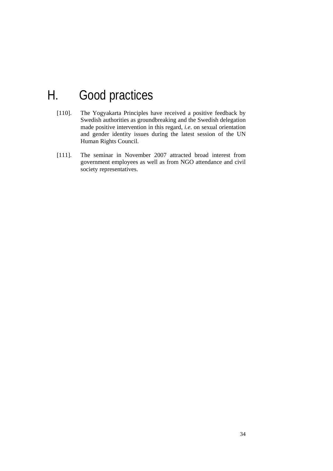## H. Good practices

- [110]. The Yogyakarta Principles have received a positive feedback by Swedish authorities as groundbreaking and the Swedish delegation made positive intervention in this regard, *i.e*. on sexual orientation and gender identity issues during the latest session of the UN Human Rights Council.
- [111]. The seminar in November 2007 attracted broad interest from government employees as well as from NGO attendance and civil society representatives.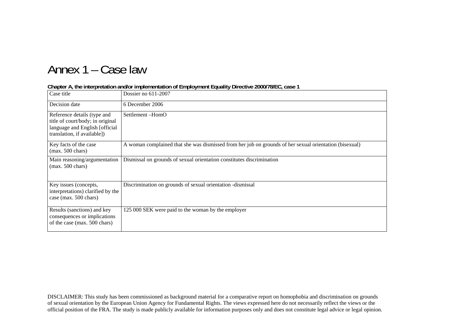## Annex 1 – Case law

| Case title                                                                                                                       | Dossier no 611-2007                                                                                    |
|----------------------------------------------------------------------------------------------------------------------------------|--------------------------------------------------------------------------------------------------------|
| Decision date                                                                                                                    | 6 December 2006                                                                                        |
| Reference details (type and<br>title of court/body; in original<br>language and English [official<br>translation, if available]) | Settlement-HomO                                                                                        |
| Key facts of the case<br>$(max. 500 \text{ chars})$                                                                              | A woman complained that she was dismissed from her job on grounds of her sexual orientation (bisexual) |
| Main reasoning/argumentation<br>$(max. 500 \text{ chars})$                                                                       | Dismissal on grounds of sexual orientation constitutes discrimination                                  |
| Key issues (concepts,<br>interpretations) clarified by the<br>case (max. 500 chars)                                              | Discrimination on grounds of sexual orientation -dismissal                                             |
| Results (sanctions) and key<br>consequences or implications<br>of the case (max. 500 chars)                                      | 125 000 SEK were paid to the woman by the employer                                                     |

#### **Chapter A, the interpretation and/or implementation of Employment Equality Directive 2000/78/EC, case 1**

DISCLAIMER: This study has been commissioned as background material for a comparative report on homophobia and discrimination on grounds of sexual orientation by the European Union Agency for Fundamental Rights. The views expressed here do not necessarily reflect the views or the official position of the FRA. The study is made publicly available for information purposes only and does not constitute legal advice or legal opinion.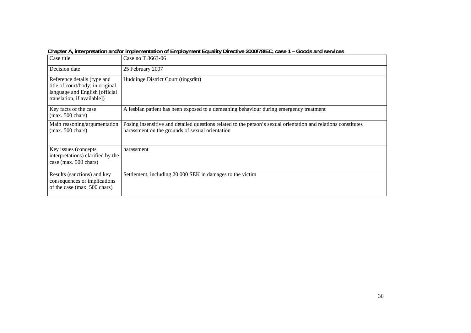| Case title                                                                                                                       | Case no T 3663-06                                                                                                                                                 |
|----------------------------------------------------------------------------------------------------------------------------------|-------------------------------------------------------------------------------------------------------------------------------------------------------------------|
| Decision date                                                                                                                    | 25 February 2007                                                                                                                                                  |
| Reference details (type and<br>title of court/body; in original<br>language and English [official<br>translation, if available]) | Huddinge District Court (tingsrätt)                                                                                                                               |
| Key facts of the case<br>$(max. 500 \text{ chars})$                                                                              | A lesbian patient has been exposed to a demeaning behaviour during emergency treatment                                                                            |
| Main reasoning/argumentation<br>$(max. 500 \text{ chars})$                                                                       | Posing insensitive and detailed questions related to the person's sexual orientation and relations constitutes<br>harassment on the grounds of sexual orientation |
| Key issues (concepts,<br>interpretations) clarified by the<br>case (max. 500 chars)                                              | harassment                                                                                                                                                        |
| Results (sanctions) and key<br>consequences or implications<br>of the case (max. 500 chars)                                      | Settlement, including 20 000 SEK in damages to the victim                                                                                                         |

**Chapter A, interpretation and/or implementation of Employment Equality Directive 2000/78/EC, case 1 – Goods and services**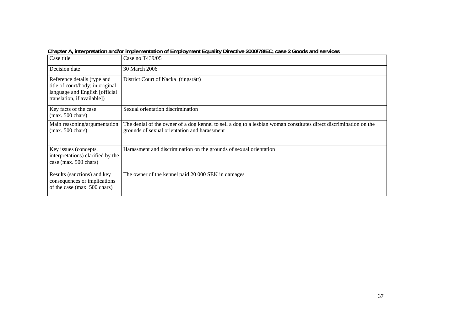| Case title                                                                                                                       | Case no T439/05                                                                                                                                                   |
|----------------------------------------------------------------------------------------------------------------------------------|-------------------------------------------------------------------------------------------------------------------------------------------------------------------|
| Decision date                                                                                                                    | 30 March 2006                                                                                                                                                     |
| Reference details (type and<br>title of court/body; in original<br>language and English [official<br>translation, if available]) | District Court of Nacka (tingsrätt)                                                                                                                               |
| Key facts of the case<br>$(max. 500 \text{ chars})$                                                                              | Sexual orientation discrimination                                                                                                                                 |
| Main reasoning/argumentation<br>$(max. 500 \text{ chars})$                                                                       | The denial of the owner of a dog kennel to sell a dog to a lesbian woman constitutes direct discrimination on the<br>grounds of sexual orientation and harassment |
| Key issues (concepts,<br>interpretations) clarified by the<br>case (max. 500 chars)                                              | Harassment and discrimination on the grounds of sexual orientation                                                                                                |
| Results (sanctions) and key<br>consequences or implications<br>of the case (max. 500 chars)                                      | The owner of the kennel paid 20 000 SEK in damages                                                                                                                |

**Chapter A, interpretation and/or implementation of Employment Equality Directive 2000/78/EC, case 2 Goods and services**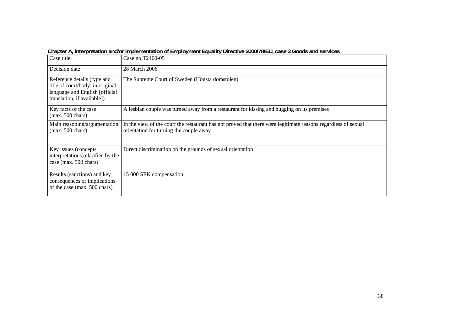| Case title                                                                                                                       | Case no T2100-05                                                                                                                                          |
|----------------------------------------------------------------------------------------------------------------------------------|-----------------------------------------------------------------------------------------------------------------------------------------------------------|
| Decision date                                                                                                                    | 28 March 2006                                                                                                                                             |
| Reference details (type and<br>title of court/body; in original<br>language and English [official<br>translation, if available]) | The Supreme Court of Sweden (Högsta domstolen)                                                                                                            |
| Key facts of the case<br>$(max. 500 \text{ chars})$                                                                              | A lesbian couple was turned away from a restaurant for kissing and hugging on its premises                                                                |
| Main reasoning/argumentation<br>$(max. 500 \text{ chars})$                                                                       | In the view of the court the restaurant has not proved that there were legitimate reasons regardless of sexual<br>orientation for turning the couple away |
| Key issues (concepts,<br>interpretations) clarified by the<br>case (max. 500 chars)                                              | Direct discrimination on the grounds of sexual orientation                                                                                                |
| Results (sanctions) and key<br>consequences or implications<br>of the case (max. 500 chars)                                      | 15 000 SEK compensation                                                                                                                                   |

**Chapter A, interpretation and/or implementation of Employment Equality Directive 2000/78/EC, case 3 Goods and services**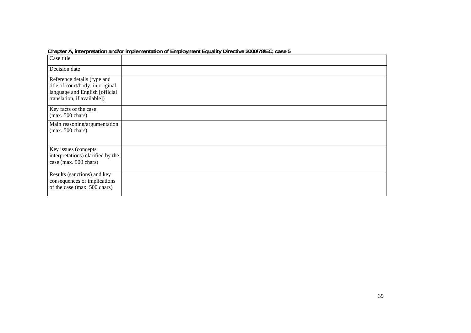|                                                                                                                                  | <b>Unapturing interpretation analog implementation or Employment Equality Directive Z000/70/EG, Ca3C J</b> |
|----------------------------------------------------------------------------------------------------------------------------------|------------------------------------------------------------------------------------------------------------|
| Case title                                                                                                                       |                                                                                                            |
| Decision date                                                                                                                    |                                                                                                            |
| Reference details (type and<br>title of court/body; in original<br>language and English [official<br>translation, if available]) |                                                                                                            |
| Key facts of the case<br>$(max. 500 \text{ chars})$                                                                              |                                                                                                            |
| Main reasoning/argumentation<br>$(max. 500 \text{ chars})$                                                                       |                                                                                                            |
| Key issues (concepts,<br>interpretations) clarified by the<br>case (max. 500 chars)                                              |                                                                                                            |
| Results (sanctions) and key<br>consequences or implications<br>of the case (max. 500 chars)                                      |                                                                                                            |

#### **Chapter A, interpretation and/or implementation of Employment Equality Directive 2000/78/EC, case 5**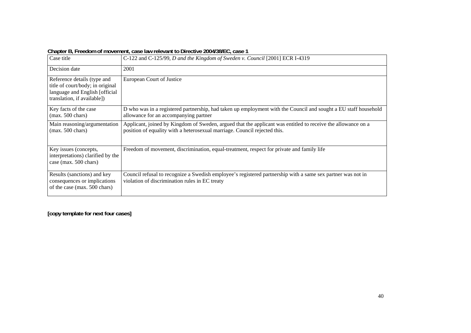| Case title                                                                                                                       | C-122 and C-125/99, D and the Kingdom of Sweden v. Council [2001] ECR I-4319                                                                                                              |
|----------------------------------------------------------------------------------------------------------------------------------|-------------------------------------------------------------------------------------------------------------------------------------------------------------------------------------------|
| Decision date                                                                                                                    | 2001                                                                                                                                                                                      |
| Reference details (type and<br>title of court/body; in original<br>language and English [official<br>translation, if available]) | <b>European Court of Justice</b>                                                                                                                                                          |
| Key facts of the case<br>$(max. 500 \text{ chars})$                                                                              | D who was in a registered partnership, had taken up employment with the Council and sought a EU staff household<br>allowance for an accompanying partner                                  |
| Main reasoning/argumentation<br>$(max. 500 \text{ chars})$                                                                       | Applicant, joined by Kingdom of Sweden, argued that the applicant was entitled to receive the allowance on a<br>position of equality with a heterosexual marriage. Council rejected this. |
| Key issues (concepts,<br>interpretations) clarified by the<br>case (max. 500 chars)                                              | Freedom of movement, discrimination, equal-treatment, respect for private and family life                                                                                                 |
| Results (sanctions) and key<br>consequences or implications<br>of the case (max. 500 chars)                                      | Council refusal to recognize a Swedish employee's registered partnership with a same sex partner was not in<br>violation of discrimination rules in EC treaty                             |

**Chapter B, Freedom of movement, case law relevant to Directive 2004/38/EC, case 1**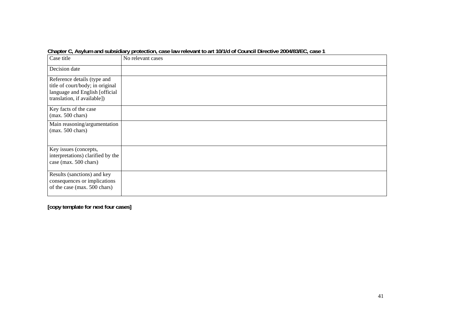| Case title                                                                                                                       | No relevant cases |
|----------------------------------------------------------------------------------------------------------------------------------|-------------------|
| Decision date                                                                                                                    |                   |
| Reference details (type and<br>title of court/body; in original<br>language and English [official<br>translation, if available]) |                   |
| Key facts of the case<br>$(max. 500 \text{ chars})$                                                                              |                   |
| Main reasoning/argumentation<br>$(max. 500 \text{ chars})$                                                                       |                   |
| Key issues (concepts,<br>interpretations) clarified by the<br>case (max. 500 chars)                                              |                   |
| Results (sanctions) and key<br>consequences or implications<br>of the case (max. 500 chars)                                      |                   |

**Chapter C, Asylum and subsidiary protection, case law relevant to art 10/1/d of Council Directive 2004/83/EC, case 1**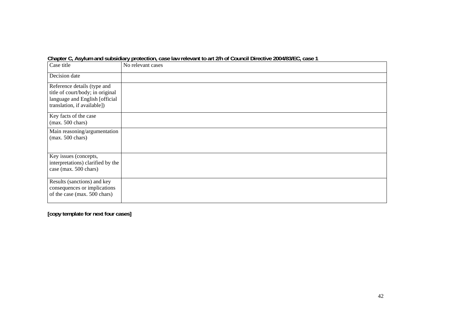| Case title                                                                                                                       | No relevant cases |  |
|----------------------------------------------------------------------------------------------------------------------------------|-------------------|--|
| Decision date                                                                                                                    |                   |  |
| Reference details (type and<br>title of court/body; in original<br>language and English [official<br>translation, if available]) |                   |  |
| Key facts of the case<br>$(max. 500 \text{ chars})$                                                                              |                   |  |
| Main reasoning/argumentation<br>$(max. 500 \text{ chars})$                                                                       |                   |  |
| Key issues (concepts,<br>interpretations) clarified by the<br>case (max. 500 chars)                                              |                   |  |
| Results (sanctions) and key<br>consequences or implications<br>of the case (max. 500 chars)                                      |                   |  |

**Chapter C, Asylum and subsidiary protection, case law relevant to art 2/h of Council Directive 2004/83/EC, case 1**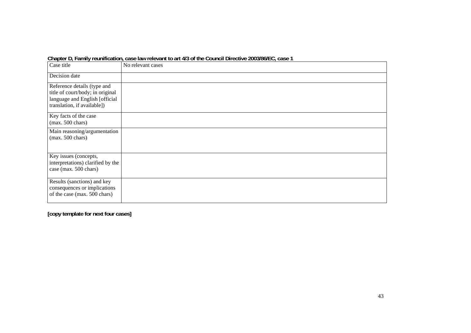| Case title                                                                                                                       | No relevant cases |
|----------------------------------------------------------------------------------------------------------------------------------|-------------------|
| Decision date                                                                                                                    |                   |
| Reference details (type and<br>title of court/body; in original<br>language and English [official<br>translation, if available]) |                   |
| Key facts of the case<br>$(max. 500 \text{ chars})$                                                                              |                   |
| Main reasoning/argumentation<br>$(max. 500 \text{ chars})$                                                                       |                   |
| Key issues (concepts,<br>interpretations) clarified by the<br>case (max. 500 chars)                                              |                   |
| Results (sanctions) and key<br>consequences or implications<br>of the case (max. 500 chars)                                      |                   |

**Chapter D, Family reunification, case law relevant to art 4/3 of the Council Directive 2003/86/EC, case 1**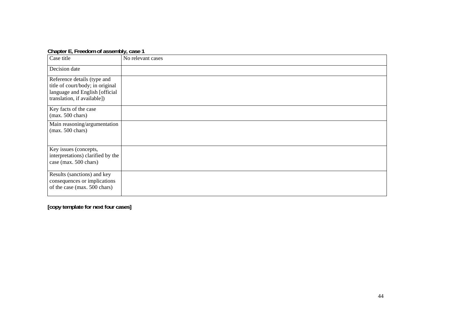| $\frac{1}{2}$                                                                                                                    |                   |  |
|----------------------------------------------------------------------------------------------------------------------------------|-------------------|--|
| Case title                                                                                                                       | No relevant cases |  |
| Decision date                                                                                                                    |                   |  |
| Reference details (type and<br>title of court/body; in original<br>language and English [official<br>translation, if available]) |                   |  |
| Key facts of the case<br>$(max. 500 \text{ chars})$                                                                              |                   |  |
| Main reasoning/argumentation<br>$(max. 500 \text{ chars})$                                                                       |                   |  |
| Key issues (concepts,<br>interpretations) clarified by the<br>case (max. 500 chars)                                              |                   |  |
| Results (sanctions) and key<br>consequences or implications<br>of the case (max. 500 chars)                                      |                   |  |

**Chapter E, Freedom of assembly, case 1**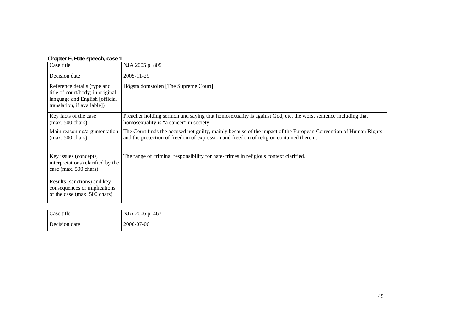| Chapter Finald Specent case T                                                                                                     |                                                                                                                                                                                                           |
|-----------------------------------------------------------------------------------------------------------------------------------|-----------------------------------------------------------------------------------------------------------------------------------------------------------------------------------------------------------|
| Case title                                                                                                                        | NJA 2005 p. 805                                                                                                                                                                                           |
| Decision date                                                                                                                     | 2005-11-29                                                                                                                                                                                                |
| Reference details (type and<br>title of court/body; in original<br>language and English [official]<br>translation, if available]) | Högsta domstolen [The Supreme Court]                                                                                                                                                                      |
| Key facts of the case<br>$(max. 500 \text{ chars})$                                                                               | Preacher holding sermon and saying that homosexuality is against God, etc. the worst sentence including that<br>homosexuality is "a cancer" in society.                                                   |
| Main reasoning/argumentation<br>$(max. 500 \text{ chars})$                                                                        | The Court finds the accused not guilty, mainly because of the impact of the European Convention of Human Rights<br>and the protection of freedom of expression and freedom of religion contained therein. |
| Key issues (concepts,<br>interpretations) clarified by the<br>case (max. 500 chars)                                               | The range of criminal responsibility for hate-crimes in religious context clarified.                                                                                                                      |
| Results (sanctions) and key<br>consequences or implications<br>of the case (max. 500 chars)                                       |                                                                                                                                                                                                           |

| Chapter F, Hate speech, case 1 |  |
|--------------------------------|--|
|--------------------------------|--|

| Case title    | 2006 p. 467<br><b>NJA</b> |
|---------------|---------------------------|
| Decision date | 2006-07-06                |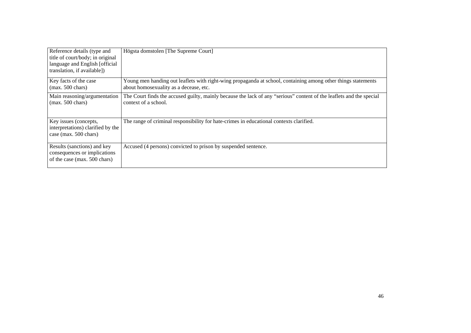| Reference details (type and<br>title of court/body; in original<br>language and English [official]<br>translation, if available]) | Högsta domstolen [The Supreme Court]                                                                                                                    |
|-----------------------------------------------------------------------------------------------------------------------------------|---------------------------------------------------------------------------------------------------------------------------------------------------------|
| Key facts of the case<br>$(max. 500 \text{ chars})$                                                                               | Young men handing out leaflets with right-wing propaganda at school, containing among other things statements<br>about homosexuality as a decease, etc. |
| Main reasoning/argumentation<br>$(max. 500 \text{ chars})$                                                                        | The Court finds the accused guilty, mainly because the lack of any "serious" content of the leaflets and the special<br>context of a school.            |
| Key issues (concepts,<br>interpretations) clarified by the<br>case (max. 500 chars)                                               | The range of criminal responsibility for hate-crimes in educational contexts clarified.                                                                 |
| Results (sanctions) and key<br>consequences or implications<br>of the case (max. 500 chars)                                       | Accused (4 persons) convicted to prison by suspended sentence.                                                                                          |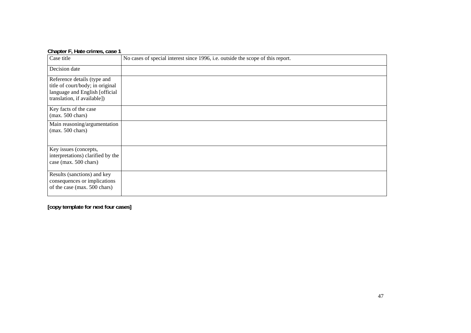| Case title                                                                                                                       | No cases of special interest since 1996, i.e. outside the scope of this report. |
|----------------------------------------------------------------------------------------------------------------------------------|---------------------------------------------------------------------------------|
| Decision date                                                                                                                    |                                                                                 |
| Reference details (type and<br>title of court/body; in original<br>language and English [official<br>translation, if available]) |                                                                                 |
| Key facts of the case<br>$(max. 500 \text{ chars})$                                                                              |                                                                                 |
| Main reasoning/argumentation<br>$(max. 500 \text{ chars})$                                                                       |                                                                                 |
| Key issues (concepts,<br>interpretations) clarified by the<br>case (max. 500 chars)                                              |                                                                                 |
| Results (sanctions) and key<br>consequences or implications<br>of the case (max. 500 chars)                                      |                                                                                 |

**Chapter F, Hate crimes, case 1**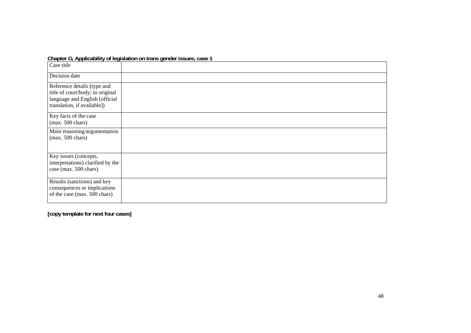|  | Chapter G, Applicability of legislation on trans gender issues, case 1 |
|--|------------------------------------------------------------------------|
|  |                                                                        |

| Case title                                                                                                                       |  |
|----------------------------------------------------------------------------------------------------------------------------------|--|
| Decision date                                                                                                                    |  |
| Reference details (type and<br>title of court/body; in original<br>language and English [official<br>translation, if available]) |  |
| Key facts of the case<br>$(max. 500 \text{ chars})$                                                                              |  |
| Main reasoning/argumentation<br>$(max. 500 \text{ chars})$                                                                       |  |
| Key issues (concepts,<br>interpretations) clarified by the<br>case (max. 500 chars)                                              |  |
| Results (sanctions) and key<br>consequences or implications<br>of the case (max. 500 chars)                                      |  |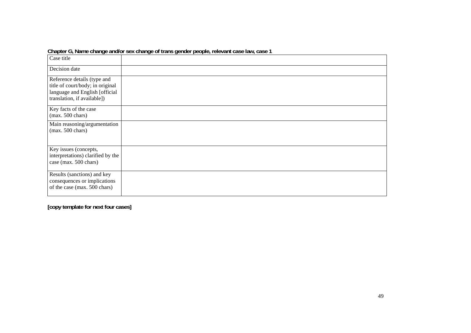|                                                                                                                                  | Grapici O, mariic change anuror sck change or irans genuci people, reievant case iaw, case T |
|----------------------------------------------------------------------------------------------------------------------------------|----------------------------------------------------------------------------------------------|
| Case title                                                                                                                       |                                                                                              |
| Decision date                                                                                                                    |                                                                                              |
| Reference details (type and<br>title of court/body; in original<br>language and English [official<br>translation, if available]) |                                                                                              |
| Key facts of the case<br>$(max. 500 \text{ chars})$                                                                              |                                                                                              |
| Main reasoning/argumentation<br>$(max. 500 \text{ chars})$                                                                       |                                                                                              |
| Key issues (concepts,<br>interpretations) clarified by the<br>case (max. 500 chars)                                              |                                                                                              |
| Results (sanctions) and key<br>consequences or implications<br>of the case (max. 500 chars)                                      |                                                                                              |

#### **Chapter G, Name change and/or sex change of trans gender people, relevant case law, case 1**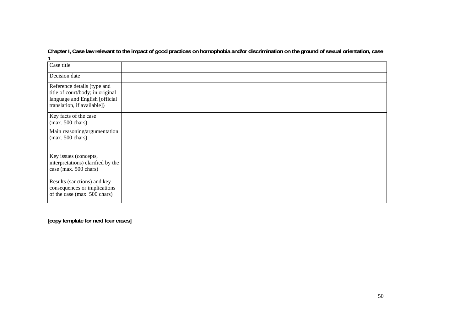| Case title                                                                                                                       |  |
|----------------------------------------------------------------------------------------------------------------------------------|--|
| Decision date                                                                                                                    |  |
| Reference details (type and<br>title of court/body; in original<br>language and English [official<br>translation, if available]) |  |
| Key facts of the case<br>$(max. 500 \text{ chars})$                                                                              |  |
| Main reasoning/argumentation<br>$(max. 500 \text{ chars})$                                                                       |  |
| Key issues (concepts,<br>interpretations) clarified by the<br>case (max. 500 chars)                                              |  |
| Results (sanctions) and key<br>consequences or implications<br>of the case (max. 500 chars)                                      |  |

**Chapter I, Case law relevant to the impact of good practices on homophobia and/or discrimination on the ground of sexual orientation, case 1**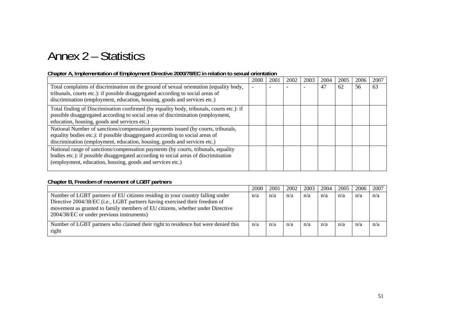# Annex 2 – Statistics

#### **Chapter A, Implementation of Employment Directive 2000/78/EC in relation to sexual orientation**

|                                                                                                                                                                                                                                                       | 2000 | 2001 | 2002 | 2003 | 2004 | 2005 | 2006 | 2007 |
|-------------------------------------------------------------------------------------------------------------------------------------------------------------------------------------------------------------------------------------------------------|------|------|------|------|------|------|------|------|
| Total complaints of discrimination on the ground of sexual orientation (equality body,<br>tribunals, courts etc.): if possible disaggregated according to social areas of<br>discrimination (employment, education, housing, goods and services etc.) |      |      |      |      | 47   | 62   | 56   | 63   |
| Total finding of Discrimination confirmed (by equality body, tribunals, courts etc.): if<br>possible disaggregated according to social areas of discrimination (employment,<br>education, housing, goods and services etc.)                           |      |      |      |      |      |      |      |      |
| National Number of sanctions/compensation payments issued (by courts, tribunals,<br>equality bodies etc.): if possible disaggregated according to social areas of<br>discrimination (employment, education, housing, goods and services etc.)         |      |      |      |      |      |      |      |      |
| National range of sanctions/compensation payments (by courts, tribunals, equality<br>bodies etc.): if possible disaggregated according to social areas of discrimination<br>(employment, education, housing, goods and services etc.)                 |      |      |      |      |      |      |      |      |

#### **Chapter B, Freedom of movement of LGBT partners**

|                                                                                                                                                                                                                                                                                            | 2000 | 2001 | 2002 | 2003 | 2004 | 2005 | 2006 | 2007 |
|--------------------------------------------------------------------------------------------------------------------------------------------------------------------------------------------------------------------------------------------------------------------------------------------|------|------|------|------|------|------|------|------|
| Number of LGBT partners of EU citizens residing in your country falling under<br>Directive 2004/38/EC (i.e., LGBT partners having exercised their freedom of<br>movement as granted to family members of EU citizens, whether under Directive<br>2004/38/EC or under previous instruments) | n/a  | n/a  | n/a  | n/a  | n/a  | n/a  | n/a  | n/a  |
| Number of LGBT partners who claimed their right to residence but were denied this<br>right                                                                                                                                                                                                 | n/a  | n/a  | n/a  | n/a  | n/a  | n/a  | n/a  | n/a  |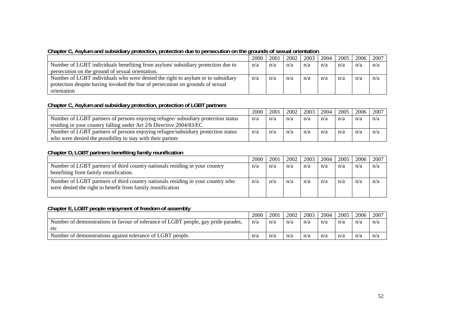|                                                                                 | 2000 | 2001 | 2002 | 2003 | 2004 | 2005 | 2006 | 2007 |
|---------------------------------------------------------------------------------|------|------|------|------|------|------|------|------|
| Number of LGBT individuals benefiting from asylum/subsidiary protection due to  | n/a  | n/a  | n/a  | n/a  | n/a  | n/a  | n/a  | n/a  |
| persecution on the ground of sexual orientation.                                |      |      |      |      |      |      |      |      |
| Number of LGBT individuals who were denied the right to asylum or to subsidiary | n/a  | n/a  | n/a  | n/a  | n/a  | n/a  | n/a  | n/a  |
| protection despite having invoked the fear of persecution on grounds of sexual  |      |      |      |      |      |      |      |      |
| orientation                                                                     |      |      |      |      |      |      |      |      |

#### **Chapter C, Asylum and subsidiary protection, protection due to persecution on the grounds of sexual orientation**

#### **Chapter C, Asylum and subsidiary protection, protection of LGBT partners**

|                                                                                   | 2000 | 2001 | 2002 | 2003 | 2004 | 2005 | 2006 | 2007 |
|-----------------------------------------------------------------------------------|------|------|------|------|------|------|------|------|
| Number of LGBT partners of persons enjoying refugee/ subsidiary protection status | n/a  | n/a  | n/a  | n/a  | n/a  | n/a  | n/a  | n/a  |
| residing in your country falling under Art 2/h Directive 2004/83/EC               |      |      |      |      |      |      |      |      |
| Number of LGBT partners of persons enjoying refugee/subsidiary protection status  | n/a  | n/a  | n/a  | n/a  | n/a  | n/a  | n/a  | n/a  |
| who were denied the possibility to stay with their partner                        |      |      |      |      |      |      |      |      |

#### **Chapter D, LGBT partners benefiting family reunification**

|                                                                                                                                               | 2000 | 2001 | 2002 | 2003 | 2004 | 2005 | 2006 | 2007 |
|-----------------------------------------------------------------------------------------------------------------------------------------------|------|------|------|------|------|------|------|------|
| Number of LGBT partners of third country nationals residing in your country<br>benefiting from family reunification.                          | n/a  | n/a  | n/a  | n/a  | n/a  | n/a  | n/a  | n/a  |
| Number of LGBT partners of third country nationals residing in your country who<br>were denied the right to benefit from family reunification | n/a  | n/a  | n/a  | n/a  | n/a  | n/a  | n/a  | n/a  |

#### **Chapter E, LGBT people enjoyment of freedom of assembly**

|                                                                                    | 2000 | 2001 | 2002 | 2003 | 2004 | 2005 | 2006 | 2007 |
|------------------------------------------------------------------------------------|------|------|------|------|------|------|------|------|
| Number of demonstrations in favour of tolerance of LGBT people, gay pride parades, | n/a  | n/a  | n/a  | n/a  | n/a  | n/a  | n/a  | n/a  |
| etc                                                                                |      |      |      |      |      |      |      |      |
| Number of demonstrations against tolerance of LGBT people.                         | n/a  | n/a  | n/a  | n/a  | n/a  | n/a  | n/a  | n/a  |